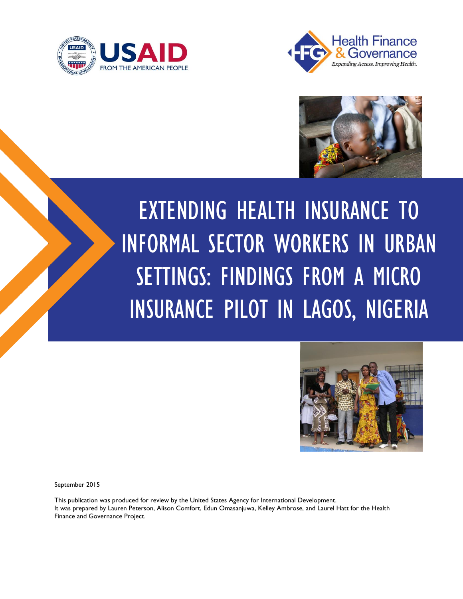





# EXTENDING HEALTH INSURANCE TO INFORMAL SECTOR WORKERS IN URBAN SETTINGS: FINDINGS FROM A MICRO INSURANCE PILOT IN LAGOS, NIGERIA



September 2015

This publication was produced for review by the United States Agency for International Development. It was prepared by Lauren Peterson, Alison Comfort, Edun Omasanjuwa, Kelley Ambrose, and Laurel Hatt for the Health Finance and Governance Project.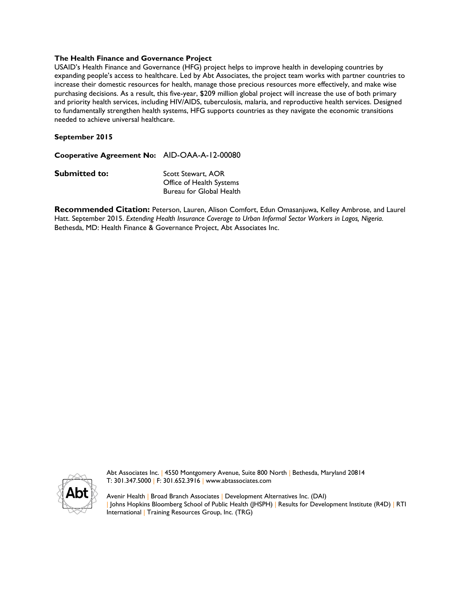#### **The Health Finance and Governance Project**

USAID's Health Finance and Governance (HFG) project helps to improve health in developing countries by expanding people's access to healthcare. Led by Abt Associates, the project team works with partner countries to increase their domestic resources for health, manage those precious resources more effectively, and make wise purchasing decisions. As a result, this five-year, \$209 million global project will increase the use of both primary and priority health services, including HIV/AIDS, tuberculosis, malaria, and reproductive health services. Designed to fundamentally strengthen health systems, HFG supports countries as they navigate the economic transitions needed to achieve universal healthcare.

#### **September 2015**

**Cooperative Agreement No:** AID-OAA-A-12-00080

**Submitted to:** Scott Stewart, AOR Office of Health Systems Bureau for Global Health

**Recommended Citation:** Peterson, Lauren, Alison Comfort, Edun Omasanjuwa, Kelley Ambrose, and Laurel Hatt. September 2015. *Extending Health Insurance Coverage to Urban Informal Sector Workers in Lagos, Nigeria.*  Bethesda, MD: Health Finance & Governance Project, Abt Associates Inc.



Abt Associates Inc. | 4550 Montgomery Avenue, Suite 800 North | Bethesda, Maryland 20814 T: 301.347.5000 | F: 301.652.3916 | www.abtassociates.com

Avenir Health | Broad Branch Associates | Development Alternatives Inc. (DAI) | Johns Hopkins Bloomberg School of Public Health (JHSPH) | Results for Development Institute (R4D) | RTI International | Training Resources Group, Inc. (TRG)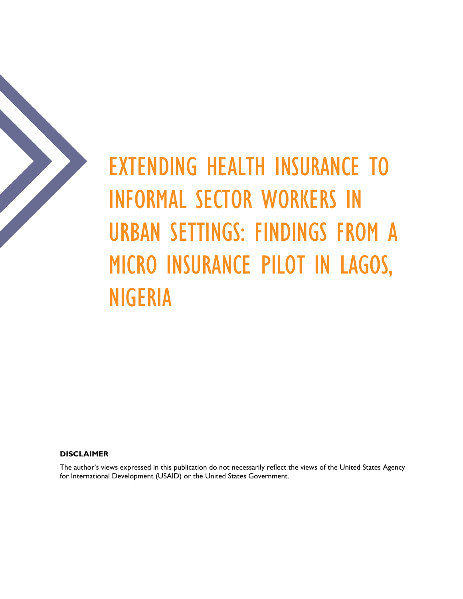

EXTENDING HEALTH INSURANCE TO INFORMAL SECTOR WORKERS IN URBAN SETTINGS: FINDINGS FROM A MICRO INSURANCE PILOT IN LAGOS, NIGERIA

**DISCLAIMER**

The author's views expressed in this publication do not necessarily reflect the views of the United States Agency for International Development (USAID) or the United States Government.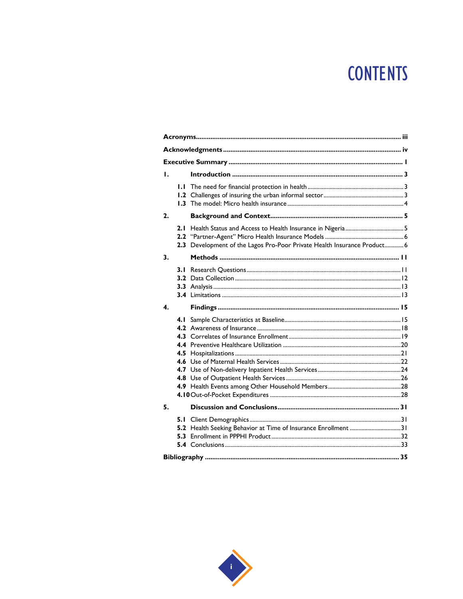## **CONTENTS**

| Τ.           |  |                                                                          |  |  |  |
|--------------|--|--------------------------------------------------------------------------|--|--|--|
|              |  |                                                                          |  |  |  |
| 2.           |  |                                                                          |  |  |  |
|              |  | 2.3 Development of the Lagos Pro-Poor Private Health Insurance Product 6 |  |  |  |
| 3.           |  |                                                                          |  |  |  |
|              |  |                                                                          |  |  |  |
| $\mathbf{4}$ |  |                                                                          |  |  |  |
|              |  |                                                                          |  |  |  |
| 5.           |  |                                                                          |  |  |  |
|              |  | 5.2 Health Seeking Behavior at Time of Insurance Enrollment 31           |  |  |  |
|              |  |                                                                          |  |  |  |

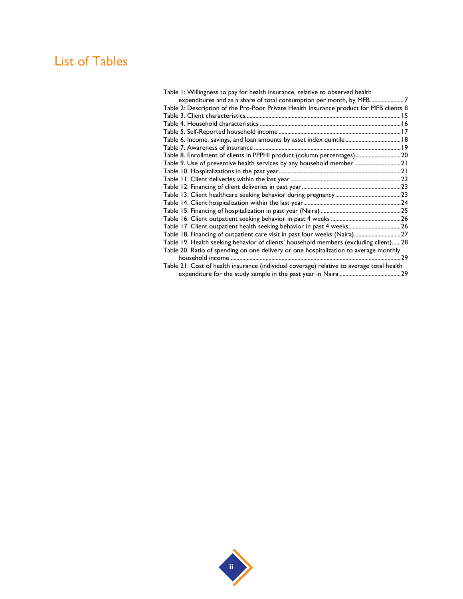## List of Tables

| Table 1: Willingness to pay for health insurance, relative to observed health             |    |
|-------------------------------------------------------------------------------------------|----|
| expenditures and as a share of total consumption per month, by MFB7                       |    |
| Table 2: Description of the Pro-Poor Private Health Insurance product for MFB clients 8   |    |
|                                                                                           |    |
|                                                                                           |    |
|                                                                                           |    |
| Table 6. Income, savings, and loan amounts by asset index quintile 18                     |    |
|                                                                                           |    |
| Table 8. Enrollment of clients in PPPHI product (column percentages) 20                   |    |
| Table 9. Use of preventive health services by any household member  21                    |    |
|                                                                                           |    |
|                                                                                           |    |
|                                                                                           |    |
|                                                                                           |    |
|                                                                                           |    |
|                                                                                           |    |
|                                                                                           |    |
| Table 17. Client outpatient health seeking behavior in past 4 weeks26                     |    |
| Table 18. Financing of outpatient care visit in past four weeks (Naira)27                 |    |
| Table 19. Health seeking behavior of clients' household members (excluding client)28      |    |
| Table 20. Ratio of spending on one delivery or one hospitalization to average monthly     |    |
|                                                                                           | 29 |
| Table 21. Cost of health insurance (individual coverage) relative to average total health |    |
|                                                                                           |    |
|                                                                                           |    |

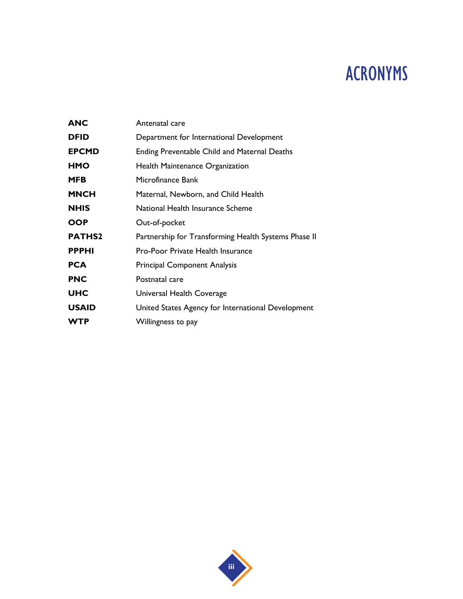## ACRONYMS

| <b>ANC</b>    | Antenatal care                                       |
|---------------|------------------------------------------------------|
| <b>DFID</b>   | Department for International Development             |
| <b>EPCMD</b>  | <b>Ending Preventable Child and Maternal Deaths</b>  |
| HMO           | <b>Health Maintenance Organization</b>               |
| MFB           | Microfinance Bank                                    |
| <b>MNCH</b>   | Maternal, Newborn, and Child Health                  |
| <b>NHIS</b>   | National Health Insurance Scheme                     |
| OOP           | Out-of-pocket                                        |
| <b>PATHS2</b> | Partnership for Transforming Health Systems Phase II |
| <b>PPPHI</b>  | <b>Pro-Poor Private Health Insurance</b>             |
| <b>PCA</b>    | <b>Principal Component Analysis</b>                  |
| <b>PNC</b>    | Postnatal care                                       |
| UHC           | Universal Health Coverage                            |
| <b>USAID</b>  | United States Agency for International Development   |
| <b>WTP</b>    | Willingness to pay                                   |
|               |                                                      |

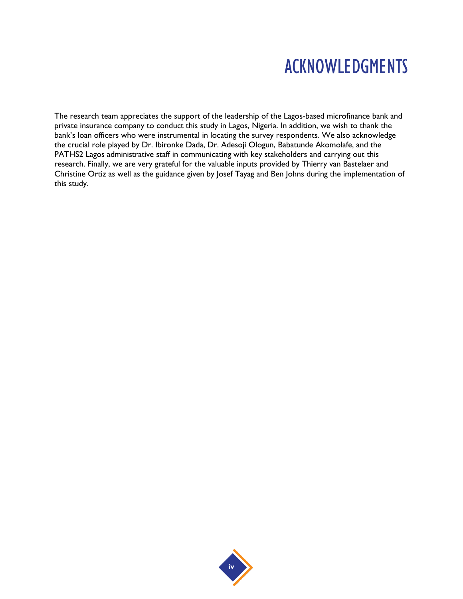## ACKNOWLEDGMENTS

The research team appreciates the support of the leadership of the Lagos-based microfinance bank and private insurance company to conduct this study in Lagos, Nigeria. In addition, we wish to thank the bank's loan officers who were instrumental in locating the survey respondents. We also acknowledge the crucial role played by Dr. Ibironke Dada, Dr. Adesoji Ologun, Babatunde Akomolafe, and the PATHS2 Lagos administrative staff in communicating with key stakeholders and carrying out this research. Finally, we are very grateful for the valuable inputs provided by Thierry van Bastelaer and Christine Ortiz as well as the guidance given by Josef Tayag and Ben Johns during the implementation of this study.

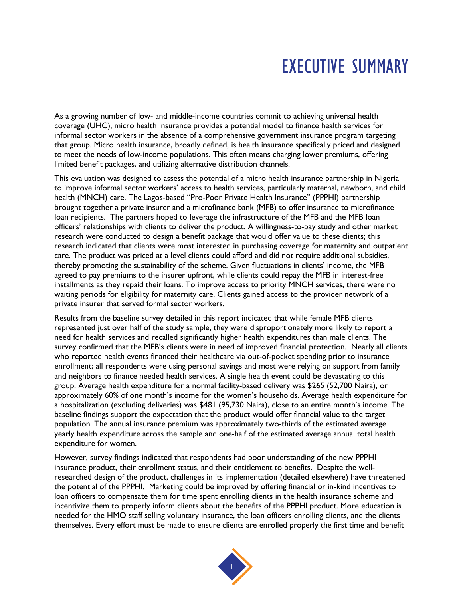## EXECUTIVE SUMMARY

As a growing number of low- and middle-income countries commit to achieving universal health coverage (UHC), micro health insurance provides a potential model to finance health services for informal sector workers in the absence of a comprehensive government insurance program targeting that group. Micro health insurance, broadly defined, is health insurance specifically priced and designed to meet the needs of low-income populations. This often means charging lower premiums, offering limited benefit packages, and utilizing alternative distribution channels.

This evaluation was designed to assess the potential of a micro health insurance partnership in Nigeria to improve informal sector workers' access to health services, particularly maternal, newborn, and child health (MNCH) care. The Lagos-based "Pro-Poor Private Health Insurance" (PPPHI) partnership brought together a private insurer and a microfinance bank (MFB) to offer insurance to microfinance loan recipients. The partners hoped to leverage the infrastructure of the MFB and the MFB loan officers' relationships with clients to deliver the product. A willingness-to-pay study and other market research were conducted to design a benefit package that would offer value to these clients; this research indicated that clients were most interested in purchasing coverage for maternity and outpatient care. The product was priced at a level clients could afford and did not require additional subsidies, thereby promoting the sustainability of the scheme. Given fluctuations in clients' income, the MFB agreed to pay premiums to the insurer upfront, while clients could repay the MFB in interest-free installments as they repaid their loans. To improve access to priority MNCH services, there were no waiting periods for eligibility for maternity care. Clients gained access to the provider network of a private insurer that served formal sector workers.

Results from the baseline survey detailed in this report indicated that while female MFB clients represented just over half of the study sample, they were disproportionately more likely to report a need for health services and recalled significantly higher health expenditures than male clients. The survey confirmed that the MFB's clients were in need of improved financial protection. Nearly all clients who reported health events financed their healthcare via out-of-pocket spending prior to insurance enrollment; all respondents were using personal savings and most were relying on support from family and neighbors to finance needed health services. A single health event could be devastating to this group. Average health expenditure for a normal facility-based delivery was \$265 (52,700 Naira), or approximately 60% of one month's income for the women's households. Average health expenditure for a hospitalization (excluding deliveries) was \$481 (95,730 Naira), close to an entire month's income. The baseline findings support the expectation that the product would offer financial value to the target population. The annual insurance premium was approximately two-thirds of the estimated average yearly health expenditure across the sample and one-half of the estimated average annual total health expenditure for women.

However, survey findings indicated that respondents had poor understanding of the new PPPHI insurance product, their enrollment status, and their entitlement to benefits. Despite the wellresearched design of the product, challenges in its implementation (detailed elsewhere) have threatened the potential of the PPPHI. Marketing could be improved by offering financial or in-kind incentives to loan officers to compensate them for time spent enrolling clients in the health insurance scheme and incentivize them to properly inform clients about the benefits of the PPPHI product. More education is needed for the HMO staff selling voluntary insurance, the loan officers enrolling clients, and the clients themselves. Every effort must be made to ensure clients are enrolled properly the first time and benefit

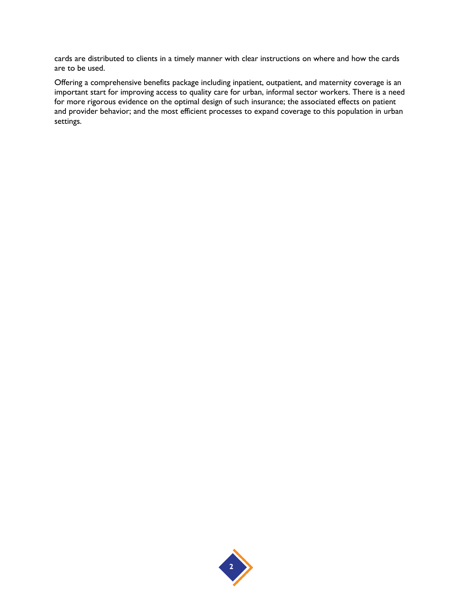cards are distributed to clients in a timely manner with clear instructions on where and how the cards are to be used.

Offering a comprehensive benefits package including inpatient, outpatient, and maternity coverage is an important start for improving access to quality care for urban, informal sector workers. There is a need for more rigorous evidence on the optimal design of such insurance; the associated effects on patient and provider behavior; and the most efficient processes to expand coverage to this population in urban settings.

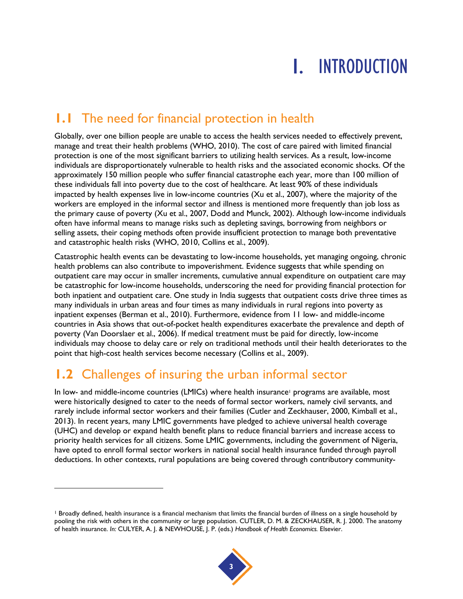## 1. INTRODUCTION

## **1.1** The need for financial protection in health

Globally, over one billion people are unable to access the health services needed to effectively prevent, manage and treat their health problems [\(WHO, 2010\)](#page-42-0). The cost of care paired with limited financial protection is one of the most significant barriers to utilizing health services. As a result, low-income individuals are disproportionately vulnerable to health risks and the associated economic shocks. Of the approximately 150 million people who suffer financial catastrophe each year, more than 100 million of these individuals fall into poverty due to the cost of healthcare. At least 90% of these individuals impacted by health expenses live in low-income countries [\(Xu et al., 2007\)](#page-42-1), where the majority of the workers are employed in the informal sector and illness is mentioned more frequently than job loss as the primary cause of poverty [\(Xu et al., 2007,](#page-42-1) [Dodd and Munck, 2002\)](#page-42-2). Although low-income individuals often have informal means to manage risks such as depleting savings, borrowing from neighbors or selling assets, their coping methods often provide insufficient protection to manage both preventative and catastrophic health risks [\(WHO, 2010,](#page-42-0) [Collins et al., 2009\)](#page-42-3).

Catastrophic health events can be devastating to low-income households, yet managing ongoing, chronic health problems can also contribute to impoverishment. Evidence suggests that while spending on outpatient care may occur in smaller increments, cumulative annual expenditure on outpatient care may be catastrophic for low-income households, underscoring the need for providing financial protection for both inpatient and outpatient care. One study in India suggests that outpatient costs drive three times as many individuals in urban areas and four times as many individuals in rural regions into poverty as inpatient expenses [\(Berman et al., 2010\)](#page-42-4). Furthermore, evidence from 11 low- and middle-income countries in Asia shows that out-of-pocket health expenditures exacerbate the prevalence and depth of poverty [\(Van Doorslaer et al., 2006\)](#page-42-5). If medical treatment must be paid for directly, low-income individuals may choose to delay care or rely on traditional methods until their health deteriorates to the point that high-cost health services become necessary [\(Collins et al., 2009\)](#page-42-3).

## **1.2** Challenges of insuring the urban informal sector

l

In low- and middle-income countries (LMICs) where health insurance<sup>1</sup> programs are available, most were historically designed to cater to the needs of formal sector workers, namely civil servants, and rarely include informal sector workers and their families [\(Cutler and Zeckhauser, 2000,](#page-42-6) [Kimball et al.,](#page-42-7)  [2013\)](#page-42-7). In recent years, many LMIC governments have pledged to achieve universal health coverage (UHC) and develop or expand health benefit plans to reduce financial barriers and increase access to priority health services for all citizens. Some LMIC governments, including the government of Nigeria, have opted to enroll formal sector workers in national social health insurance funded through payroll deductions. In other contexts, rural populations are being covered through contributory community-

<sup>&</sup>lt;sup>1</sup> Broadly defined, health insurance is a financial mechanism that limits the financial burden of illness on a single household by pooling the risk with others in the community or large population. CUTLER, D. M. & ZECKHAUSER, R. J. 2000. The anatomy of health insurance. *In:* CULYER, A. J. & NEWHOUSE, J. P. (eds.) *Handbook of Health Economics.* Elsevier.

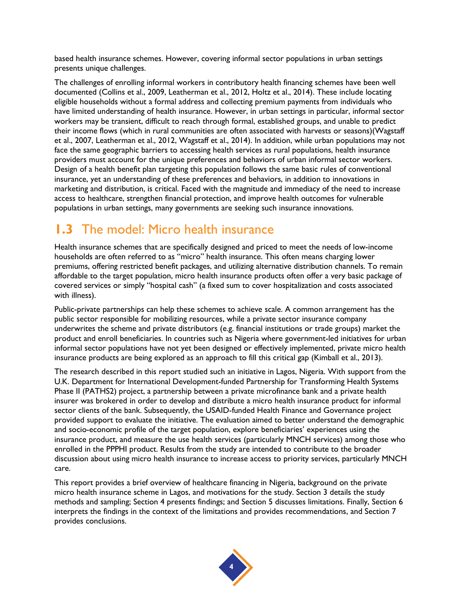based health insurance schemes. However, covering informal sector populations in urban settings presents unique challenges.

The challenges of enrolling informal workers in contributory health financing schemes have been well documented [\(Collins et al., 2009,](#page-42-3) [Leatherman et al., 2012,](#page-42-8) [Holtz et al., 2014\)](#page-42-9). These include locating eligible households without a formal address and collecting premium payments from individuals who have limited understanding of health insurance. However, in urban settings in particular, informal sector workers may be transient, difficult to reach through formal, established groups, and unable to predict their income flows (which in rural communities are often associated with harvests or seasons)[\(Wagstaff](#page-42-10)  [et al., 2007,](#page-42-10) [Leatherman et al., 2012,](#page-42-8) [Wagstaff et al., 2014\)](#page-42-11). In addition, while urban populations may not face the same geographic barriers to accessing health services as rural populations, health insurance providers must account for the unique preferences and behaviors of urban informal sector workers. Design of a health benefit plan targeting this population follows the same basic rules of conventional insurance, yet an understanding of these preferences and behaviors, in addition to innovations in marketing and distribution, is critical. Faced with the magnitude and immediacy of the need to increase access to healthcare, strengthen financial protection, and improve health outcomes for vulnerable populations in urban settings, many governments are seeking such insurance innovations.

## **1.3** The model: Micro health insurance

Health insurance schemes that are specifically designed and priced to meet the needs of low-income households are often referred to as "micro" health insurance. This often means charging lower premiums, offering restricted benefit packages, and utilizing alternative distribution channels. To remain affordable to the target population, micro health insurance products often offer a very basic package of covered services or simply "hospital cash" (a fixed sum to cover hospitalization and costs associated with illness).

Public-private partnerships can help these schemes to achieve scale. A common arrangement has the public sector responsible for mobilizing resources, while a private sector insurance company underwrites the scheme and private distributors (e.g. financial institutions or trade groups) market the product and enroll beneficiaries. In countries such as Nigeria where government-led initiatives for urban informal sector populations have not yet been designed or effectively implemented, private micro health insurance products are being explored as an approach to fill this critical gap [\(Kimball et al., 2013\)](#page-42-7).

The research described in this report studied such an initiative in Lagos, Nigeria. With support from the U.K. Department for International Development-funded Partnership for Transforming Health Systems Phase II (PATHS2) project, a partnership between a private microfinance bank and a private health insurer was brokered in order to develop and distribute a micro health insurance product for informal sector clients of the bank. Subsequently, the USAID-funded Health Finance and Governance project provided support to evaluate the initiative. The evaluation aimed to better understand the demographic and socio-economic profile of the target population, explore beneficiaries' experiences using the insurance product, and measure the use health services (particularly MNCH services) among those who enrolled in the PPPHI product. Results from the study are intended to contribute to the broader discussion about using micro health insurance to increase access to priority services, particularly MNCH care.

This report provides a brief overview of healthcare financing in Nigeria, background on the private micro health insurance scheme in Lagos, and motivations for the study. Section 3 details the study methods and sampling; Section 4 presents findings; and Section 5 discusses limitations. Finally, Section 6 interprets the findings in the context of the limitations and provides recommendations, and Section 7 provides conclusions.

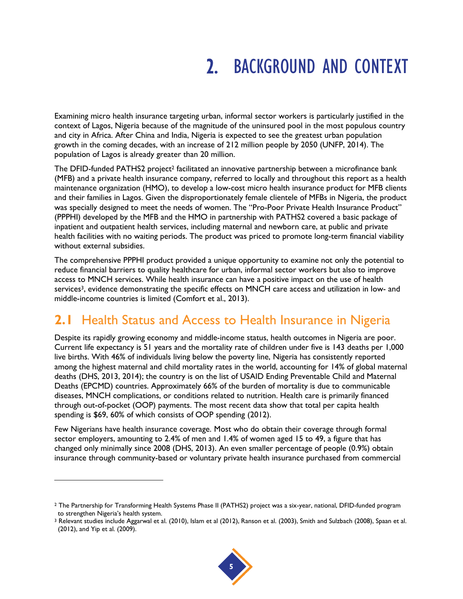## 2. BACKGROUND AND CONTEXT

Examining micro health insurance targeting urban, informal sector workers is particularly justified in the context of Lagos, Nigeria because of the magnitude of the uninsured pool in the most populous country and city in Africa. After China and India, Nigeria is expected to see the greatest urban population growth in the coming decades, with an increase of 212 million people by 2050 [\(UNFP, 2014\)](#page-42-12). The population of Lagos is already greater than 20 million.

The DFID-funded PATHS2 project<sup>2</sup> facilitated an innovative partnership between a microfinance bank (MFB) and a private health insurance company, referred to locally and throughout this report as a health maintenance organization (HMO), to develop a low-cost micro health insurance product for MFB clients and their families in Lagos. Given the disproportionately female clientele of MFBs in Nigeria, the product was specially designed to meet the needs of women. The "Pro-Poor Private Health Insurance Product" (PPPHI) developed by the MFB and the HMO in partnership with PATHS2 covered a basic package of inpatient and outpatient health services, including maternal and newborn care, at public and private health facilities with no waiting periods. The product was priced to promote long-term financial viability without external subsidies.

The comprehensive PPPHI product provided a unique opportunity to examine not only the potential to reduce financial barriers to quality healthcare for urban, informal sector workers but also to improve access to MNCH services. While health insurance can have a positive impact on the use of health services<sup>3</sup>, evidence demonstrating the specific effects on MNCH care access and utilization in low- and middle-income countries is limited [\(Comfort et al., 2013\)](#page-42-13).

## **2.1** Health Status and Access to Health Insurance in Nigeria

Despite its rapidly growing economy and middle-income status, health outcomes in Nigeria are poor. Current life expectancy is 51 years and the mortality rate of children under five is 143 deaths per 1,000 live births. With 46% of individuals living below the poverty line, Nigeria has consistently reported among the highest maternal and child mortality rates in the world, accounting for 14% of global maternal deaths [\(DHS, 2013,](#page-42-14) [2014\)](#page-42-15); the country is on the list of USAID Ending Preventable Child and Maternal Deaths (EPCMD) countries. Approximately 66% of the burden of mortality is due to communicable diseases, MNCH complications, or conditions related to nutrition. Health care is primarily financed through out-of-pocket (OOP) payments. The most recent data show that total per capita health spending is \$69, 60% of which consists of OOP spending [\(2012\)](#page-42-16).

Few Nigerians have health insurance coverage. Most who do obtain their coverage through formal sector employers, amounting to 2.4% of men and 1.4% of women aged 15 to 49, a figure that has changed only minimally since 2008 [\(DHS, 2013\)](#page-42-14). An even smaller percentage of people (0.9%) obtain insurance through community-based or voluntary private health insurance purchased from commercial

l

<sup>3</sup> Relevant studies include Aggarwal et al. (2010), Islam et al (2012), Ranson et al. (2003), Smith and Sulzbach (2008), Spaan et al. (2012), and Yip et al. (2009).



<sup>2</sup> The Partnership for Transforming Health Systems Phase II (PATHS2) project was a six-year, national, DFID-funded program to strengthen Nigeria's health system.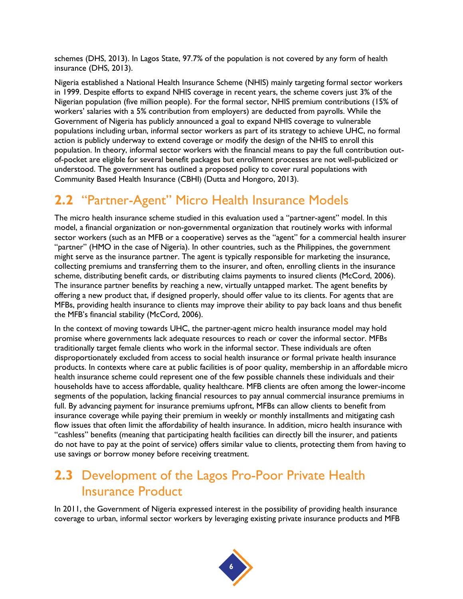schemes [\(DHS, 2013\)](#page-42-14). In Lagos State, 97.7% of the population is not covered by any form of health insurance [\(DHS, 2013\)](#page-42-14).

Nigeria established a National Health Insurance Scheme (NHIS) mainly targeting formal sector workers in 1999. Despite efforts to expand NHIS coverage in recent years, the scheme covers just 3% of the Nigerian population (five million people). For the formal sector, NHIS premium contributions (15% of workers' salaries with a 5% contribution from employers) are deducted from payrolls. While the Government of Nigeria has publicly announced a goal to expand NHIS coverage to vulnerable populations including urban, informal sector workers as part of its strategy to achieve UHC, no formal action is publicly underway to extend coverage or modify the design of the NHIS to enroll this population. In theory, informal sector workers with the financial means to pay the full contribution outof-pocket are eligible for several benefit packages but enrollment processes are not well-publicized or understood. The government has outlined a proposed policy to cover rural populations with Community Based Health Insurance (CBHI) [\(Dutta and Hongoro, 2013\)](#page-42-17).

### **2.2** "Partner-Agent" Micro Health Insurance Models

The micro health insurance scheme studied in this evaluation used a "partner-agent" model. In this model, a financial organization or non-governmental organization that routinely works with informal sector workers (such as an MFB or a cooperative) serves as the "agent" for a commercial health insurer "partner" (HMO in the case of Nigeria). In other countries, such as the Philippines, the government might serve as the insurance partner. The agent is typically responsible for marketing the insurance, collecting premiums and transferring them to the insurer, and often, enrolling clients in the insurance scheme, distributing benefit cards, or distributing claims payments to insured clients [\(McCord, 2006\)](#page-42-18). The insurance partner benefits by reaching a new, virtually untapped market. The agent benefits by offering a new product that, if designed properly, should offer value to its clients. For agents that are MFBs, providing health insurance to clients may improve their ability to pay back loans and thus benefit the MFB's financial stability [\(McCord, 2006\)](#page-42-18).

In the context of moving towards UHC, the partner-agent micro health insurance model may hold promise where governments lack adequate resources to reach or cover the informal sector. MFBs traditionally target female clients who work in the informal sector. These individuals are often disproportionately excluded from access to social health insurance or formal private health insurance products. In contexts where care at public facilities is of poor quality, membership in an affordable micro health insurance scheme could represent one of the few possible channels these individuals and their households have to access affordable, quality healthcare. MFB clients are often among the lower-income segments of the population, lacking financial resources to pay annual commercial insurance premiums in full. By advancing payment for insurance premiums upfront, MFBs can allow clients to benefit from insurance coverage while paying their premium in weekly or monthly installments and mitigating cash flow issues that often limit the affordability of health insurance. In addition, micro health insurance with "cashless" benefits (meaning that participating health facilities can directly bill the insurer, and patients do not have to pay at the point of service) offers similar value to clients, protecting them from having to use savings or borrow money before receiving treatment.

### **2.3** Development of the Lagos Pro-Poor Private Health Insurance Product

In 2011, the Government of Nigeria expressed interest in the possibility of providing health insurance coverage to urban, informal sector workers by leveraging existing private insurance products and MFB

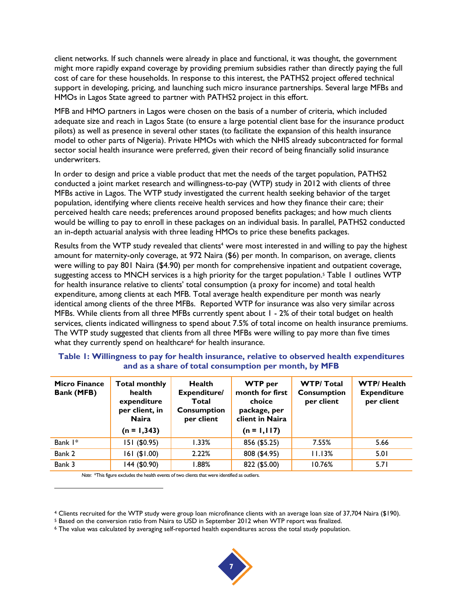client networks. If such channels were already in place and functional, it was thought, the government might more rapidly expand coverage by providing premium subsidies rather than directly paying the full cost of care for these households. In response to this interest, the PATHS2 project offered technical support in developing, pricing, and launching such micro insurance partnerships. Several large MFBs and HMOs in Lagos State agreed to partner with PATHS2 project in this effort.

MFB and HMO partners in Lagos were chosen on the basis of a number of criteria, which included adequate size and reach in Lagos State (to ensure a large potential client base for the insurance product pilots) as well as presence in several other states (to facilitate the expansion of this health insurance model to other parts of Nigeria). Private HMOs with which the NHIS already subcontracted for formal sector social health insurance were preferred, given their record of being financially solid insurance underwriters.

In order to design and price a viable product that met the needs of the target population, PATHS2 conducted a joint market research and willingness-to-pay (WTP) study in 2012 with clients of three MFBs active in Lagos. The WTP study investigated the current health seeking behavior of the target population, identifying where clients receive health services and how they finance their care; their perceived health care needs; preferences around proposed benefits packages; and how much clients would be willing to pay to enroll in these packages on an individual basis. In parallel, PATHS2 conducted an in-depth actuarial analysis with three leading HMOs to price these benefits packages.

Results from the WTP study revealed that clients<sup>4</sup> were most interested in and willing to pay the highest amount for maternity-only coverage, at 972 Naira (\$6) per month. In comparison, on average, clients were willing to pay 801 Naira (\$4.90) per month for comprehensive inpatient and outpatient coverage, suggesting access to MNCH services is a high priority for the target population.<sup>5</sup> Table 1 outlines WTP for health insurance relative to clients' total consumption (a proxy for income) and total health expenditure, among clients at each MFB. Total average health expenditure per month was nearly identical among clients of the three MFBs. Reported WTP for insurance was also very similar across MFBs. While clients from all three MFBs currently spent about 1 - 2% of their total budget on health services, clients indicated willingness to spend about 7.5% of total income on health insurance premiums. The WTP study suggested that clients from all three MFBs were willing to pay more than five times what they currently spend on healthcare<sup>6</sup> for health insurance.

| <b>Micro Finance</b><br><b>Bank (MFB)</b> | <b>Total monthly</b><br>health<br>expenditure<br>per client, in<br><b>Naira</b><br>$(n = 1,343)$ | <b>Health</b><br>Expenditure/<br>Total<br><b>Consumption</b><br>per client | <b>WTP</b> per<br>month for first<br>choice<br>package, per<br>client in Naira<br>$(n = 1, 117)$ | <b>WTP/Total</b><br><b>Consumption</b><br>per client | <b>WTP/Health</b><br><b>Expenditure</b><br>per client |
|-------------------------------------------|--------------------------------------------------------------------------------------------------|----------------------------------------------------------------------------|--------------------------------------------------------------------------------------------------|------------------------------------------------------|-------------------------------------------------------|
| Bank 1*                                   | 151 (\$0.95)                                                                                     | 1.33%                                                                      | 856 (\$5.25)                                                                                     | 7.55%                                                | 5.66                                                  |
| Bank 2                                    | 161(1.00)                                                                                        | 2.22%                                                                      | 808 (\$4.95)                                                                                     | 11.13%                                               | 5.01                                                  |
| Bank 3                                    | 144 (\$0.90)                                                                                     | 88% I                                                                      | 822 (\$5.00)                                                                                     | 10.76%                                               | 5.71                                                  |

#### <span id="page-14-0"></span>**Table 1: Willingness to pay for health insurance, relative to observed health expenditures and as a share of total consumption per month, by MFB**

*Note*: \*This figure excludes the health events of two clients that were identified as outliers.

l

<sup>6</sup> The value was calculated by averaging self-reported health expenditures across the total study population.



<sup>4</sup> Clients recruited for the WTP study were group loan microfinance clients with an average loan size of 37,704 Naira (\$190).

<sup>5</sup> Based on the conversion ratio from Naira to USD in September 2012 when WTP report was finalized.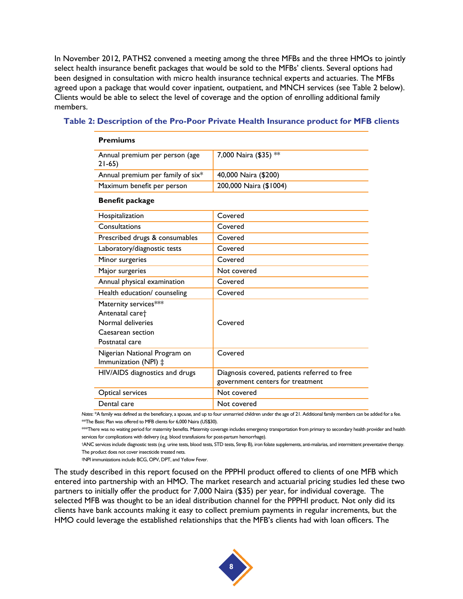In November 2012, PATHS2 convened a meeting among the three MFBs and the three HMOs to jointly select health insurance benefit packages that would be sold to the MFBs' clients. Several options had been designed in consultation with micro health insurance technical experts and actuaries. The MFBs agreed upon a package that would cover inpatient, outpatient, and MNCH services (see Table 2 below). Clients would be able to select the level of coverage and the option of enrolling additional family members.

| Annual premium per person (age<br>$21-65$                                                                        | 7,000 Naira (\$35) **                                                            |
|------------------------------------------------------------------------------------------------------------------|----------------------------------------------------------------------------------|
| Annual premium per family of six*                                                                                | 40,000 Naira (\$200)                                                             |
| Maximum benefit per person                                                                                       | 200,000 Naira (\$1004)                                                           |
| <b>Benefit package</b>                                                                                           |                                                                                  |
| Hospitalization                                                                                                  | Covered                                                                          |
| Consultations                                                                                                    | Covered                                                                          |
| Prescribed drugs & consumables                                                                                   | Covered                                                                          |
| Laboratory/diagnostic tests                                                                                      | Covered                                                                          |
| Minor surgeries                                                                                                  | Covered                                                                          |
| Major surgeries                                                                                                  | Not covered                                                                      |
| Annual physical examination                                                                                      | Covered                                                                          |
| Health education/ counseling                                                                                     | Covered                                                                          |
| Maternity services***<br>Antenatal care <sup>+</sup><br>Normal deliveries<br>Caesarean section<br>Postnatal care | Covered                                                                          |
| Nigerian National Program on<br>Immunization (NPI) ‡                                                             | Covered                                                                          |
| HIV/AIDS diagnostics and drugs                                                                                   | Diagnosis covered, patients referred to free<br>government centers for treatment |
| Optical services                                                                                                 | Not covered                                                                      |
| Dental care                                                                                                      | Not covered                                                                      |

#### <span id="page-15-0"></span>**Table 2: Description of the Pro-Poor Private Health Insurance product for MFB clients**

*Notes*: \*A family was defined as the beneficiary, a spouse, and up to four unmarried children under the age of 21. Additional family members can be added for a fee. \*\*The Basic Plan was offered to MFB clients for 6,000 Naira (US\$30).

\*\*\*There was no waiting period for maternity benefits. Maternity coverage includes emergency transportation from primary to secondary health provider and health services for complications with delivery (e.g. blood transfusions for post-partum hemorrhage).

†ANC services include diagnostic tests (e.g. urine tests, blood tests, STD tests, Strep B), iron folate supplements, anti-malarias, and intermittent preventative therapy. The product does not cover insecticide treated nets.

‡NPI immunizations include BCG, OPV, DPT, and Yellow Fever.

**Premiums**

The study described in this report focused on the PPPHI product offered to clients of one MFB which entered into partnership with an HMO. The market research and actuarial pricing studies led these two partners to initially offer the product for 7,000 Naira (\$35) per year, for individual coverage. The selected MFB was thought to be an ideal distribution channel for the PPPHI product. Not only did its clients have bank accounts making it easy to collect premium payments in regular increments, but the HMO could leverage the established relationships that the MFB's clients had with loan officers. The

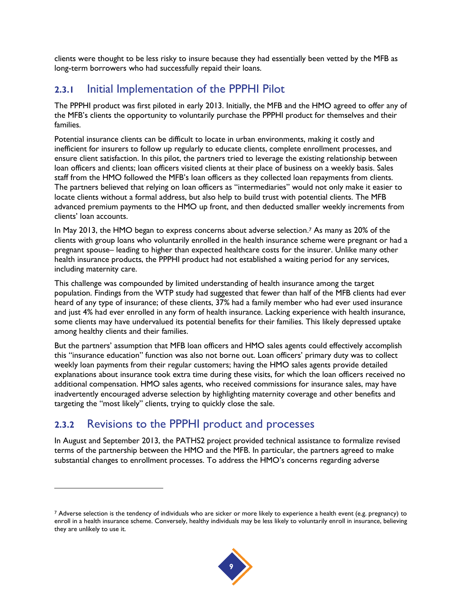clients were thought to be less risky to insure because they had essentially been vetted by the MFB as long-term borrowers who had successfully repaid their loans.

#### **2.3.1** Initial Implementation of the PPPHI Pilot

The PPPHI product was first piloted in early 2013. Initially, the MFB and the HMO agreed to offer any of the MFB's clients the opportunity to voluntarily purchase the PPPHI product for themselves and their families.

Potential insurance clients can be difficult to locate in urban environments, making it costly and inefficient for insurers to follow up regularly to educate clients, complete enrollment processes, and ensure client satisfaction. In this pilot, the partners tried to leverage the existing relationship between loan officers and clients; loan officers visited clients at their place of business on a weekly basis. Sales staff from the HMO followed the MFB's loan officers as they collected loan repayments from clients. The partners believed that relying on loan officers as "intermediaries" would not only make it easier to locate clients without a formal address, but also help to build trust with potential clients. The MFB advanced premium payments to the HMO up front, and then deducted smaller weekly increments from clients' loan accounts.

In May 2013, the HMO began to express concerns about adverse selection. <sup>7</sup> As many as 20% of the clients with group loans who voluntarily enrolled in the health insurance scheme were pregnant or had a pregnant spouse– leading to higher than expected healthcare costs for the insurer. Unlike many other health insurance products, the PPPHI product had not established a waiting period for any services, including maternity care.

This challenge was compounded by limited understanding of health insurance among the target population. Findings from the WTP study had suggested that fewer than half of the MFB clients had ever heard of any type of insurance; of these clients, 37% had a family member who had ever used insurance and just 4% had ever enrolled in any form of health insurance. Lacking experience with health insurance, some clients may have undervalued its potential benefits for their families. This likely depressed uptake among healthy clients and their families.

But the partners' assumption that MFB loan officers and HMO sales agents could effectively accomplish this "insurance education" function was also not borne out. Loan officers' primary duty was to collect weekly loan payments from their regular customers; having the HMO sales agents provide detailed explanations about insurance took extra time during these visits, for which the loan officers received no additional compensation. HMO sales agents, who received commissions for insurance sales, may have inadvertently encouraged adverse selection by highlighting maternity coverage and other benefits and targeting the "most likely" clients, trying to quickly close the sale.

#### **2.3.2** Revisions to the PPPHI product and processes

l

In August and September 2013, the PATHS2 project provided technical assistance to formalize revised terms of the partnership between the HMO and the MFB. In particular, the partners agreed to make substantial changes to enrollment processes. To address the HMO's concerns regarding adverse

<sup>7</sup> Adverse selection is the tendency of individuals who are sicker or more likely to experience a health event (e.g. pregnancy) to enroll in a health insurance scheme. Conversely, healthy individuals may be less likely to voluntarily enroll in insurance, believing they are unlikely to use it.

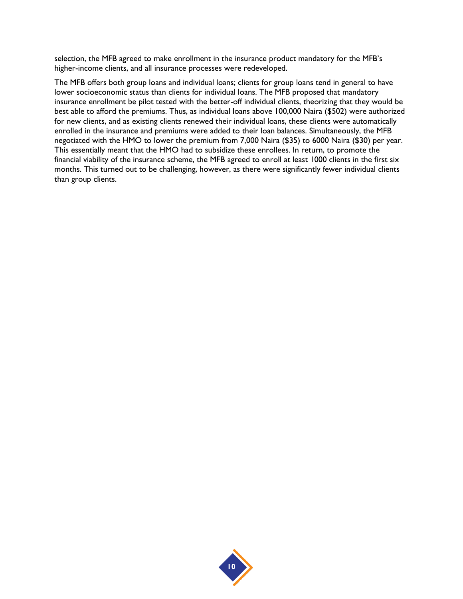selection, the MFB agreed to make enrollment in the insurance product mandatory for the MFB's higher-income clients, and all insurance processes were redeveloped.

The MFB offers both group loans and individual loans; clients for group loans tend in general to have lower socioeconomic status than clients for individual loans. The MFB proposed that mandatory insurance enrollment be pilot tested with the better-off individual clients, theorizing that they would be best able to afford the premiums. Thus, as individual loans above 100,000 Naira (\$502) were authorized for new clients, and as existing clients renewed their individual loans, these clients were automatically enrolled in the insurance and premiums were added to their loan balances. Simultaneously, the MFB negotiated with the HMO to lower the premium from 7,000 Naira (\$35) to 6000 Naira (\$30) per year. This essentially meant that the HMO had to subsidize these enrollees. In return, to promote the financial viability of the insurance scheme, the MFB agreed to enroll at least 1000 clients in the first six months. This turned out to be challenging, however, as there were significantly fewer individual clients than group clients.

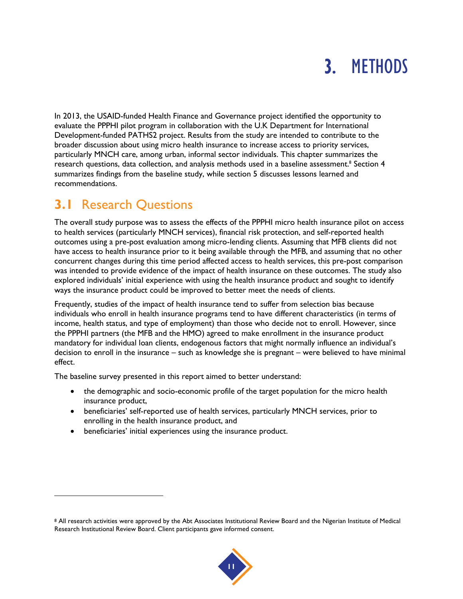## 3. METHODS

In 2013, the USAID-funded Health Finance and Governance project identified the opportunity to evaluate the PPPHI pilot program in collaboration with the U.K Department for International Development-funded PATHS2 project. Results from the study are intended to contribute to the broader discussion about using micro health insurance to increase access to priority services, particularly MNCH care, among urban, informal sector individuals. This chapter summarizes the research questions, data collection, and analysis methods used in a baseline assessment.<sup>8</sup> Section 4 summarizes findings from the baseline study, while section 5 discusses lessons learned and recommendations.

## **3.1** Research Questions

l

The overall study purpose was to assess the effects of the PPPHI micro health insurance pilot on access to health services (particularly MNCH services), financial risk protection, and self-reported health outcomes using a pre-post evaluation among micro-lending clients. Assuming that MFB clients did not have access to health insurance prior to it being available through the MFB, and assuming that no other concurrent changes during this time period affected access to health services, this pre-post comparison was intended to provide evidence of the impact of health insurance on these outcomes. The study also explored individuals' initial experience with using the health insurance product and sought to identify ways the insurance product could be improved to better meet the needs of clients.

Frequently, studies of the impact of health insurance tend to suffer from selection bias because individuals who enroll in health insurance programs tend to have different characteristics (in terms of income, health status, and type of employment) than those who decide not to enroll. However, since the PPPHI partners (the MFB and the HMO) agreed to make enrollment in the insurance product mandatory for individual loan clients, endogenous factors that might normally influence an individual's decision to enroll in the insurance – such as knowledge she is pregnant – were believed to have minimal effect.

The baseline survey presented in this report aimed to better understand:

- the demographic and socio-economic profile of the target population for the micro health insurance product,
- beneficiaries' self-reported use of health services, particularly MNCH services, prior to enrolling in the health insurance product, and
- beneficiaries' initial experiences using the insurance product.

<sup>8</sup> All research activities were approved by the Abt Associates Institutional Review Board and the Nigerian Institute of Medical Research Institutional Review Board. Client participants gave informed consent.

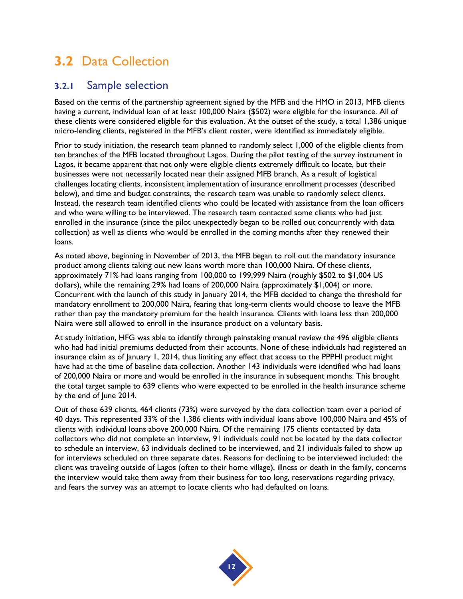## **3.2** Data Collection

#### **3.2.1** Sample selection

Based on the terms of the partnership agreement signed by the MFB and the HMO in 2013, MFB clients having a current, individual loan of at least 100,000 Naira (\$502) were eligible for the insurance. All of these clients were considered eligible for this evaluation. At the outset of the study, a total 1,386 unique micro-lending clients, registered in the MFB's client roster, were identified as immediately eligible.

Prior to study initiation, the research team planned to randomly select 1,000 of the eligible clients from ten branches of the MFB located throughout Lagos. During the pilot testing of the survey instrument in Lagos, it became apparent that not only were eligible clients extremely difficult to locate, but their businesses were not necessarily located near their assigned MFB branch. As a result of logistical challenges locating clients, inconsistent implementation of insurance enrollment processes (described below), and time and budget constraints, the research team was unable to randomly select clients. Instead, the research team identified clients who could be located with assistance from the loan officers and who were willing to be interviewed. The research team contacted some clients who had just enrolled in the insurance (since the pilot unexpectedly began to be rolled out concurrently with data collection) as well as clients who would be enrolled in the coming months after they renewed their loans.

As noted above, beginning in November of 2013, the MFB began to roll out the mandatory insurance product among clients taking out new loans worth more than 100,000 Naira. Of these clients, approximately 71% had loans ranging from 100,000 to 199,999 Naira (roughly \$502 to \$1,004 US dollars), while the remaining 29% had loans of 200,000 Naira (approximately \$1,004) or more. Concurrent with the launch of this study in January 2014, the MFB decided to change the threshold for mandatory enrollment to 200,000 Naira, fearing that long-term clients would choose to leave the MFB rather than pay the mandatory premium for the health insurance. Clients with loans less than 200,000 Naira were still allowed to enroll in the insurance product on a voluntary basis.

At study initiation, HFG was able to identify through painstaking manual review the 496 eligible clients who had had initial premiums deducted from their accounts. None of these individuals had registered an insurance claim as of January 1, 2014, thus limiting any effect that access to the PPPHI product might have had at the time of baseline data collection. Another 143 individuals were identified who had loans of 200,000 Naira or more and would be enrolled in the insurance in subsequent months. This brought the total target sample to 639 clients who were expected to be enrolled in the health insurance scheme by the end of June 2014.

Out of these 639 clients, 464 clients (73%) were surveyed by the data collection team over a period of 40 days. This represented 33% of the 1,386 clients with individual loans above 100,000 Naira and 45% of clients with individual loans above 200,000 Naira. Of the remaining 175 clients contacted by data collectors who did not complete an interview, 91 individuals could not be located by the data collector to schedule an interview, 63 individuals declined to be interviewed, and 21 individuals failed to show up for interviews scheduled on three separate dates. Reasons for declining to be interviewed included: the client was traveling outside of Lagos (often to their home village), illness or death in the family, concerns the interview would take them away from their business for too long, reservations regarding privacy, and fears the survey was an attempt to locate clients who had defaulted on loans.

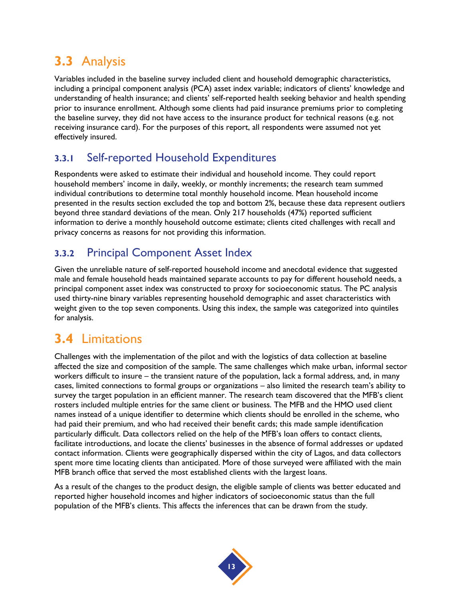## **3.3** Analysis

Variables included in the baseline survey included client and household demographic characteristics, including a principal component analysis (PCA) asset index variable; indicators of clients' knowledge and understanding of health insurance; and clients' self-reported health seeking behavior and health spending prior to insurance enrollment. Although some clients had paid insurance premiums prior to completing the baseline survey, they did not have access to the insurance product for technical reasons (e.g. not receiving insurance card). For the purposes of this report, all respondents were assumed not yet effectively insured.

#### **3.3.1** Self-reported Household Expenditures

Respondents were asked to estimate their individual and household income. They could report household members' income in daily, weekly, or monthly increments; the research team summed individual contributions to determine total monthly household income. Mean household income presented in the results section excluded the top and bottom 2%, because these data represent outliers beyond three standard deviations of the mean. Only 217 households (47%) reported sufficient information to derive a monthly household outcome estimate; clients cited challenges with recall and privacy concerns as reasons for not providing this information.

#### **3.3.2** Principal Component Asset Index

Given the unreliable nature of self-reported household income and anecdotal evidence that suggested male and female household heads maintained separate accounts to pay for different household needs, a principal component asset index was constructed to proxy for socioeconomic status. The PC analysis used thirty-nine binary variables representing household demographic and asset characteristics with weight given to the top seven components. Using this index, the sample was categorized into quintiles for analysis.

## **3.4** Limitations

Challenges with the implementation of the pilot and with the logistics of data collection at baseline affected the size and composition of the sample. The same challenges which make urban, informal sector workers difficult to insure – the transient nature of the population, lack a formal address, and, in many cases, limited connections to formal groups or organizations – also limited the research team's ability to survey the target population in an efficient manner. The research team discovered that the MFB's client rosters included multiple entries for the same client or business. The MFB and the HMO used client names instead of a unique identifier to determine which clients should be enrolled in the scheme, who had paid their premium, and who had received their benefit cards; this made sample identification particularly difficult. Data collectors relied on the help of the MFB's loan offers to contact clients, facilitate introductions, and locate the clients' businesses in the absence of formal addresses or updated contact information. Clients were geographically dispersed within the city of Lagos, and data collectors spent more time locating clients than anticipated. More of those surveyed were affiliated with the main MFB branch office that served the most established clients with the largest loans.

As a result of the changes to the product design, the eligible sample of clients was better educated and reported higher household incomes and higher indicators of socioeconomic status than the full population of the MFB's clients. This affects the inferences that can be drawn from the study.

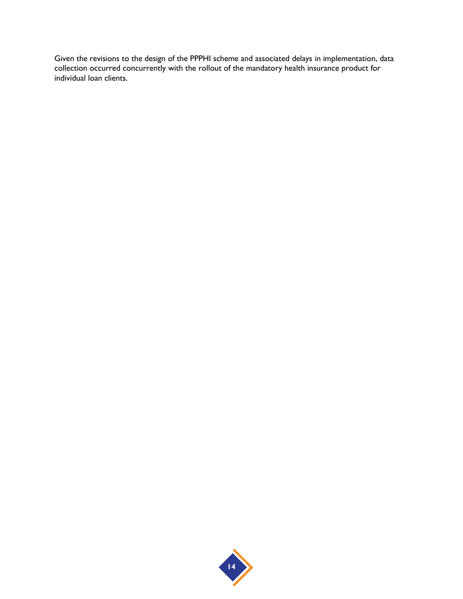Given the revisions to the design of the PPPHI scheme and associated delays in implementation, data collection occurred concurrently with the rollout of the mandatory health insurance product for individual loan clients.

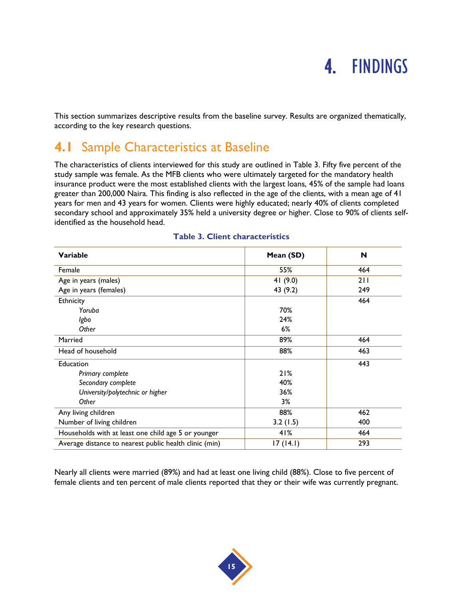## 4. FINDINGS

This section summarizes descriptive results from the baseline survey. Results are organized thematically, according to the key research questions.

### **4.1** Sample Characteristics at Baseline

The characteristics of clients interviewed for this study are outlined in Table 3. Fifty five percent of the study sample was female. As the MFB clients who were ultimately targeted for the mandatory health insurance product were the most established clients with the largest loans, 45% of the sample had loans greater than 200,000 Naira. This finding is also reflected in the age of the clients, with a mean age of 41 years for men and 43 years for women. Clients were highly educated; nearly 40% of clients completed secondary school and approximately 35% held a university degree or higher. Close to 90% of clients selfidentified as the household head.

<span id="page-22-0"></span>

| Variable                                               | Mean (SD)  | N   |
|--------------------------------------------------------|------------|-----|
| Female                                                 | 55%        | 464 |
| Age in years (males)                                   | 41 $(9.0)$ | 211 |
| Age in years (females)                                 | 43 (9.2)   | 249 |
| Ethnicity                                              |            | 464 |
| Yoruba                                                 | 70%        |     |
| Igbo                                                   | 24%        |     |
| Other                                                  | 6%         |     |
| Married                                                | 89%        | 464 |
| Head of household                                      | 88%        | 463 |
| Education                                              |            | 443 |
| Primary complete                                       | 21%        |     |
| Secondary complete                                     | 40%        |     |
| University/polytechnic or higher                       | 36%        |     |
| Other                                                  | 3%         |     |
| Any living children                                    | 88%        | 462 |
| Number of living children                              | 3.2(1.5)   | 400 |
| Households with at least one child age 5 or younger    | 41%        | 464 |
| Average distance to nearest public health clinic (min) | 17(14.1)   | 293 |

#### **Table 3. Client characteristics**

Nearly all clients were married (89%) and had at least one living child (88%). Close to five percent of female clients and ten percent of male clients reported that they or their wife was currently pregnant.

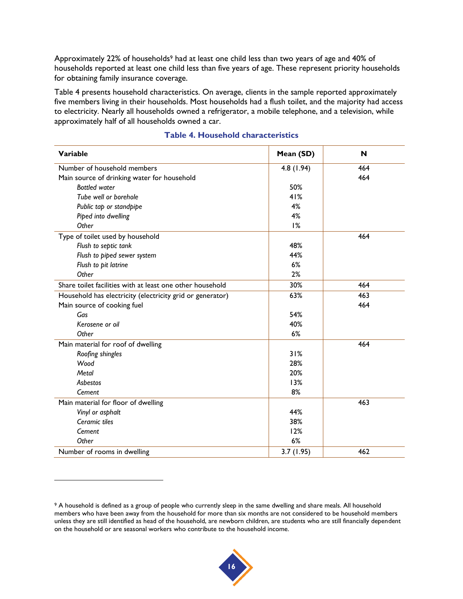Approximately 22% of households<sup>9</sup> had at least one child less than two years of age and 40% of households reported at least one child less than five years of age. These represent priority households for obtaining family insurance coverage.

Table 4 presents household characteristics. On average, clients in the sample reported approximately five members living in their households. Most households had a flush toilet, and the majority had access to electricity. Nearly all households owned a refrigerator, a mobile telephone, and a television, while approximately half of all households owned a car.

<span id="page-23-0"></span>

| <b>Variable</b>                                           | Mean (SD) | N   |
|-----------------------------------------------------------|-----------|-----|
| Number of household members                               | 4.8(1.94) | 464 |
| Main source of drinking water for household               |           | 464 |
| <b>Bottled</b> water                                      | 50%       |     |
| Tube well or borehole                                     | 41%       |     |
| Public tap or standpipe                                   | 4%        |     |
| Piped into dwelling                                       | 4%        |     |
| Other                                                     | 1%        |     |
| Type of toilet used by household                          |           | 464 |
| Flush to septic tank                                      | 48%       |     |
| Flush to piped sewer system                               | 44%       |     |
| Flush to pit latrine                                      | 6%        |     |
| Other                                                     | 2%        |     |
| Share toilet facilities with at least one other household | 30%       | 464 |
| Household has electricity (electricity grid or generator) | 63%       | 463 |
| Main source of cooking fuel                               |           | 464 |
| Gas                                                       | 54%       |     |
| Kerosene or oil                                           | 40%       |     |
| Other                                                     | 6%        |     |
| Main material for roof of dwelling                        |           | 464 |
| Roofing shingles                                          | 31%       |     |
| Wood                                                      | 28%       |     |
| Metal                                                     | 20%       |     |
| Asbestos                                                  | 13%       |     |
| Cement                                                    | 8%        |     |
| Main material for floor of dwelling                       |           | 463 |
| Vinyl or asphalt                                          | 44%       |     |
| Ceramic tiles                                             | 38%       |     |
| Cement                                                    | 12%       |     |
| Other                                                     | 6%        |     |
| Number of rooms in dwelling                               | 3.7(1.95) | 462 |

#### **Table 4. Household characteristics**

l



<sup>9</sup> A household is defined as a group of people who currently sleep in the same dwelling and share meals. All household members who have been away from the household for more than six months are not considered to be household members unless they are still identified as head of the household, are newborn children, are students who are still financially dependent on the household or are seasonal workers who contribute to the household income.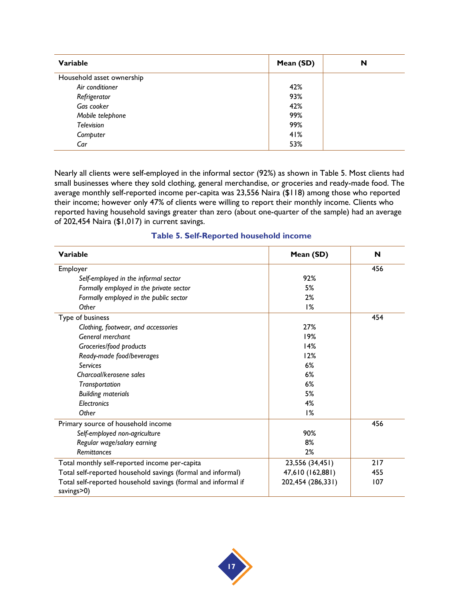| Variable                  | Mean (SD) | N |
|---------------------------|-----------|---|
| Household asset ownership |           |   |
| Air conditioner           | 42%       |   |
| Refrigerator              | 93%       |   |
| Gas cooker                | 42%       |   |
| Mobile telephone          | 99%       |   |
| Television                | 99%       |   |
| Computer                  | 41%       |   |
| Car                       | 53%       |   |

Nearly all clients were self-employed in the informal sector (92%) as shown in Table 5. Most clients had small businesses where they sold clothing, general merchandise, or groceries and ready-made food. The average monthly self-reported income per-capita was 23,556 Naira (\$118) among those who reported their income; however only 47% of clients were willing to report their monthly income. Clients who reported having household savings greater than zero (about one-quarter of the sample) had an average of 202,454 Naira (\$1,017) in current savings.

<span id="page-24-0"></span>

| Variable                                                                    | Mean (SD)         | N   |
|-----------------------------------------------------------------------------|-------------------|-----|
| Employer                                                                    |                   | 456 |
| Self-employed in the informal sector                                        | 92%               |     |
| Formally employed in the private sector                                     | 5%                |     |
| Formally employed in the public sector                                      | 2%                |     |
| Other                                                                       | 1%                |     |
| Type of business                                                            |                   | 454 |
| Clothing, footwear, and accessories                                         | 27%               |     |
| General merchant                                                            | 19%               |     |
| Groceries/food products                                                     | 14%               |     |
| Ready-made food/beverages                                                   | 12%               |     |
| <b>Services</b>                                                             | 6%                |     |
| Charcoal/kerosene sales                                                     | 6%                |     |
| Transportation                                                              | 6%                |     |
| <b>Building materials</b>                                                   | 5%                |     |
| <b>Electronics</b>                                                          | 4%                |     |
| Other                                                                       | 1%                |     |
| Primary source of household income                                          |                   | 456 |
| Self-employed non-agriculture                                               | 90%               |     |
| Regular wage/salary earning                                                 | 8%                |     |
| Remittances                                                                 | 2%                |     |
| Total monthly self-reported income per-capita                               | 23,556 (34,451)   | 217 |
| Total self-reported household savings (formal and informal)                 | 47,610 (162,881)  | 455 |
| Total self-reported household savings (formal and informal if<br>savings>0) | 202,454 (286,331) | 107 |

#### **Table 5. Self-Reported household income**

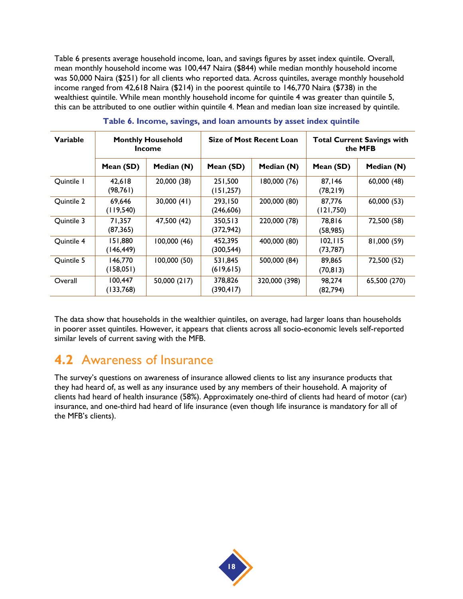Table 6 presents average household income, loan, and savings figures by asset index quintile. Overall, mean monthly household income was 100,447 Naira (\$844) while median monthly household income was 50,000 Naira (\$251) for all clients who reported data. Across quintiles, average monthly household income ranged from 42,618 Naira (\$214) in the poorest quintile to 146,770 Naira (\$738) in the wealthiest quintile. While mean monthly household income for quintile 4 was greater than quintile 5, this can be attributed to one outlier within quintile 4. Mean and median loan size increased by quintile.

<span id="page-25-0"></span>

| Variable   | <b>Monthly Household</b><br>Income |              | <b>Size of Most Recent Loan</b> |               | <b>Total Current Savings with</b><br>the MFB |              |
|------------|------------------------------------|--------------|---------------------------------|---------------|----------------------------------------------|--------------|
|            | Mean (SD)                          | Median (N)   | Mean (SD)                       | Median (N)    | Mean (SD)                                    | Median (N)   |
| Quintile 1 | 42.618<br>(98, 761)                | 20,000 (38)  | 251,500<br>(151, 257)           | 180,000 (76)  | 87.146<br>(78, 219)                          | 60,000(48)   |
| Quintile 2 | 69,646<br>(119, 540)               | 30,000(41)   | 293,150<br>(246, 606)           | 200,000 (80)  | 87.776<br>(121, 750)                         | 60,000 (53)  |
| Ouintile 3 | 71,357<br>(87, 365)                | 47,500 (42)  | 350,513<br>(372, 942)           | 220,000 (78)  | 78.816<br>(58, 985)                          | 72,500 (58)  |
| Quintile 4 | 151,880<br>(146, 449)              | 100,000(46)  | 452,395<br>(300, 544)           | 400,000 (80)  | 102, 115<br>(73, 787)                        | 81,000 (59)  |
| Quintile 5 | 146,770<br>(158,051)               | 100,000(50)  | 531,845<br>(619, 615)           | 500,000 (84)  | 89,865<br>(70, 813)                          | 72,500 (52)  |
| Overall    | 100,447<br>(133,768)               | 50,000 (217) | 378,826<br>(390, 417)           | 320,000 (398) | 98,274<br>(82, 794)                          | 65,500 (270) |

**Table 6. Income, savings, and loan amounts by asset index quintile**

The data show that households in the wealthier quintiles, on average, had larger loans than households in poorer asset quintiles. However, it appears that clients across all socio-economic levels self-reported similar levels of current saving with the MFB.

#### **4.2** Awareness of Insurance

The survey's questions on awareness of insurance allowed clients to list any insurance products that they had heard of, as well as any insurance used by any members of their household. A majority of clients had heard of health insurance (58%). Approximately one-third of clients had heard of motor (car) insurance, and one-third had heard of life insurance (even though life insurance is mandatory for all of the MFB's clients).

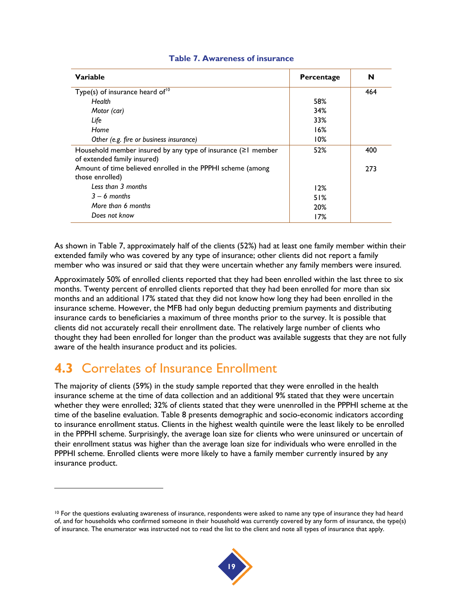<span id="page-26-0"></span>

| Variable                                                                                           | Percentage | N   |
|----------------------------------------------------------------------------------------------------|------------|-----|
| Type(s) of insurance heard of <sup>10</sup>                                                        |            | 464 |
| Health                                                                                             | 58%        |     |
| Motor (car)                                                                                        | 34%        |     |
| Life                                                                                               | 33%        |     |
| Home                                                                                               | 16%        |     |
| Other (e.g. fire or business insurance)                                                            | 10%        |     |
| Household member insured by any type of insurance $( \geq 1$ member<br>of extended family insured) | 52%        | 400 |
| Amount of time believed enrolled in the PPPHI scheme (among<br>those enrolled)                     |            | 273 |
| Less than 3 months                                                                                 | 12%        |     |
| $3 - 6$ months                                                                                     | 51%        |     |
| More than 6 months                                                                                 | 20%        |     |
| Does not know                                                                                      | 17%        |     |

#### **Table 7. Awareness of insurance**

As shown in Table 7, approximately half of the clients (52%) had at least one family member within their extended family who was covered by any type of insurance; other clients did not report a family member who was insured or said that they were uncertain whether any family members were insured.

Approximately 50% of enrolled clients reported that they had been enrolled within the last three to six months. Twenty percent of enrolled clients reported that they had been enrolled for more than six months and an additional 17% stated that they did not know how long they had been enrolled in the insurance scheme. However, the MFB had only begun deducting premium payments and distributing insurance cards to beneficiaries a maximum of three months prior to the survey. It is possible that clients did not accurately recall their enrollment date. The relatively large number of clients who thought they had been enrolled for longer than the product was available suggests that they are not fully aware of the health insurance product and its policies.

#### **4.3** Correlates of Insurance Enrollment

l

The majority of clients (59%) in the study sample reported that they were enrolled in the health insurance scheme at the time of data collection and an additional 9% stated that they were uncertain whether they were enrolled; 32% of clients stated that they were unenrolled in the PPPHI scheme at the time of the baseline evaluation. Table 8 presents demographic and socio-economic indicators according to insurance enrollment status. Clients in the highest wealth quintile were the least likely to be enrolled in the PPPHI scheme. Surprisingly, the average loan size for clients who were uninsured or uncertain of their enrollment status was higher than the average loan size for individuals who were enrolled in the PPPHI scheme. Enrolled clients were more likely to have a family member currently insured by any insurance product.

<sup>&</sup>lt;sup>10</sup> For the questions evaluating awareness of insurance, respondents were asked to name any type of insurance they had heard of, and for households who confirmed someone in their household was currently covered by any form of insurance, the type(s) of insurance. The enumerator was instructed not to read the list to the client and note all types of insurance that apply.

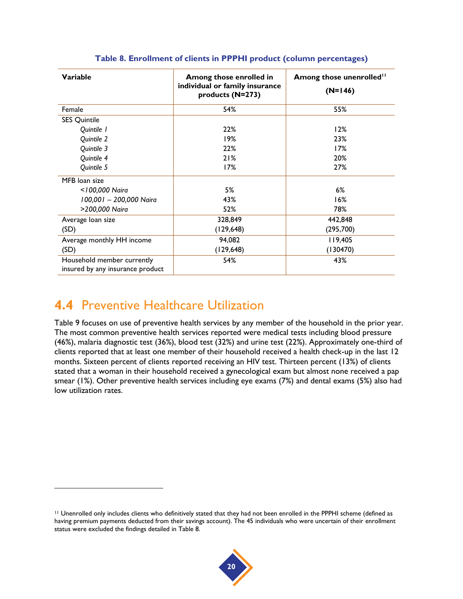<span id="page-27-0"></span>

| Variable                                                       | Among those enrolled in<br>individual or family insurance<br>products (N=273) | Among those unenrolled <sup>11</sup><br>$(N=146)$ |
|----------------------------------------------------------------|-------------------------------------------------------------------------------|---------------------------------------------------|
| Female                                                         | 54%                                                                           | 55%                                               |
| <b>SES Quintile</b>                                            |                                                                               |                                                   |
| Quintile 1                                                     | 22%                                                                           | 12%                                               |
| Quintile 2                                                     | 19%                                                                           | 23%                                               |
| Quintile 3                                                     | 22%                                                                           | 17%                                               |
| Quintile 4                                                     | 21%                                                                           | 20%                                               |
| Quintile 5                                                     | 17%                                                                           | 27%                                               |
| MFB loan size                                                  |                                                                               |                                                   |
| <100,000 Naira                                                 | 5%                                                                            | $6\%$                                             |
| 100,001 - 200,000 Naira                                        | 43%                                                                           | 16%                                               |
| >200,000 Naira                                                 | 52%                                                                           | 78%                                               |
| Average loan size                                              | 328,849                                                                       | 442,848                                           |
| (SD)                                                           | (129, 648)                                                                    | (295,700)                                         |
| Average monthly HH income                                      | 94,082                                                                        | 119,405                                           |
| (SD)                                                           | (129, 648)                                                                    | (130470)                                          |
| Household member currently<br>insured by any insurance product | 54%                                                                           | 43%                                               |

#### **Table 8. Enrollment of clients in PPPHI product (column percentages)**

### **4.4** Preventive Healthcare Utilization

l

Table 9 focuses on use of preventive health services by any member of the household in the prior year. The most common preventive health services reported were medical tests including blood pressure (46%), malaria diagnostic test (36%), blood test (32%) and urine test (22%). Approximately one-third of clients reported that at least one member of their household received a health check-up in the last 12 months. Sixteen percent of clients reported receiving an HIV test. Thirteen percent (13%) of clients stated that a woman in their household received a gynecological exam but almost none received a pap smear (1%). Other preventive health services including eye exams (7%) and dental exams (5%) also had low utilization rates.

<sup>11</sup> Unenrolled only includes clients who definitively stated that they had not been enrolled in the PPPHI scheme (defined as having premium payments deducted from their savings account). The 45 individuals who were uncertain of their enrollment status were excluded the findings detailed in Table 8.

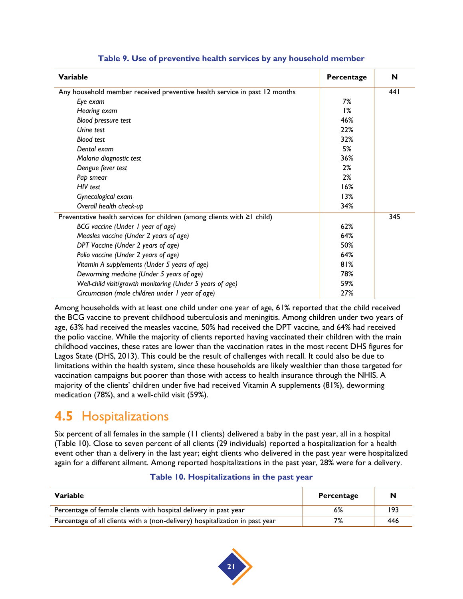<span id="page-28-0"></span>

| Variable                                                                      | Percentage | N    |
|-------------------------------------------------------------------------------|------------|------|
| Any household member received preventive health service in past 12 months     |            | 44 I |
| Eye exam                                                                      | 7%         |      |
| Hearing exam                                                                  | 1%         |      |
| Blood pressure test                                                           | 46%        |      |
| Urine test                                                                    | 22%        |      |
| <b>Blood test</b>                                                             | 32%        |      |
| Dental exam                                                                   | 5%         |      |
| Malaria diagnostic test                                                       | 36%        |      |
| Dengue fever test                                                             | 2%         |      |
| Pap smear                                                                     | 2%         |      |
| HIV test                                                                      | 16%        |      |
| Gynecological exam                                                            | 13%        |      |
| Overall health check-up                                                       | 34%        |      |
| Preventative health services for children (among clients with $\geq 1$ child) |            | 345  |
| BCG vaccine (Under 1 year of age)                                             | 62%        |      |
| Measles vaccine (Under 2 years of age)                                        | 64%        |      |
| DPT Vaccine (Under 2 years of age)                                            | 50%        |      |
| Polio vaccine (Under 2 years of age)                                          | 64%        |      |
| Vitamin A supplements (Under 5 years of age)                                  | 81%        |      |
| Deworming medicine (Under 5 years of age)                                     | 78%        |      |
| Well-child visit/growth monitoring (Under 5 years of age)                     | 59%        |      |
| Circumcision (male children under 1 year of age)                              | 27%        |      |

#### **Table 9. Use of preventive health services by any household member**

Among households with at least one child under one year of age, 61% reported that the child received the BCG vaccine to prevent childhood tuberculosis and meningitis. Among children under two years of age, 63% had received the measles vaccine, 50% had received the DPT vaccine, and 64% had received the polio vaccine. While the majority of clients reported having vaccinated their children with the main childhood vaccines, these rates are lower than the vaccination rates in the most recent DHS figures for Lagos State [\(DHS, 2013\)](#page-42-14). This could be the result of challenges with recall. It could also be due to limitations within the health system, since these households are likely wealthier than those targeted for vaccination campaigns but poorer than those with access to health insurance through the NHIS. A majority of the clients' children under five had received Vitamin A supplements (81%), deworming medication (78%), and a well-child visit (59%).

## **4.5** Hospitalizations

Six percent of all females in the sample (11 clients) delivered a baby in the past year, all in a hospital (Table 10). Close to seven percent of all clients (29 individuals) reported a hospitalization for a health event other than a delivery in the last year; eight clients who delivered in the past year were hospitalized again for a different ailment. Among reported hospitalizations in the past year, 28% were for a delivery.

#### **Table 10. Hospitalizations in the past year**

<span id="page-28-1"></span>

| Variable                                                                     | Percentage | N   |
|------------------------------------------------------------------------------|------------|-----|
| Percentage of female clients with hospital delivery in past year             | 6%         | 193 |
| Percentage of all clients with a (non-delivery) hospitalization in past year | 7%         | 446 |

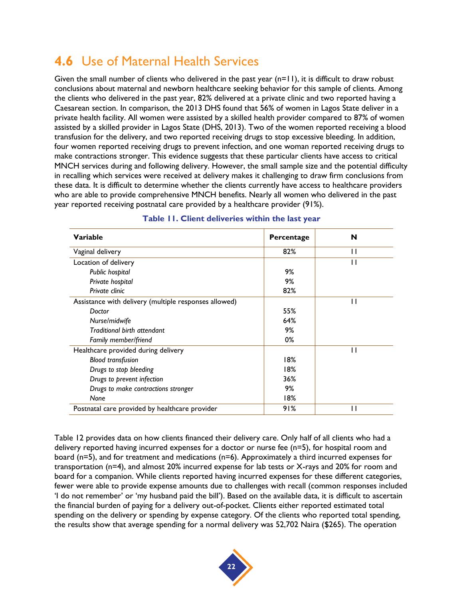## **4.6** Use of Maternal Health Services

Given the small number of clients who delivered in the past year (n=11), it is difficult to draw robust conclusions about maternal and newborn healthcare seeking behavior for this sample of clients. Among the clients who delivered in the past year, 82% delivered at a private clinic and two reported having a Caesarean section. In comparison, the 2013 DHS found that 56% of women in Lagos State deliver in a private health facility. All women were assisted by a skilled health provider compared to 87% of women assisted by a skilled provider in Lagos State (DHS, 2013). Two of the women reported receiving a blood transfusion for the delivery, and two reported receiving drugs to stop excessive bleeding. In addition, four women reported receiving drugs to prevent infection, and one woman reported receiving drugs to make contractions stronger. This evidence suggests that these particular clients have access to critical MNCH services during and following delivery. However, the small sample size and the potential difficulty in recalling which services were received at delivery makes it challenging to draw firm conclusions from these data. It is difficult to determine whether the clients currently have access to healthcare providers who are able to provide comprehensive MNCH benefits. Nearly all women who delivered in the past year reported receiving postnatal care provided by a healthcare provider (91%).

<span id="page-29-0"></span>

| Variable                                              | Percentage | N            |
|-------------------------------------------------------|------------|--------------|
| Vaginal delivery                                      | 82%        | П            |
| Location of delivery                                  |            | Н            |
| Public hospital                                       | 9%         |              |
| Private hospital                                      | 9%         |              |
| Private clinic                                        | 82%        |              |
| Assistance with delivery (multiple responses allowed) |            | $\mathsf{L}$ |
| Doctor                                                | 55%        |              |
| Nurse/midwife                                         | 64%        |              |
| Traditional birth attendant                           | 9%         |              |
| Family member/friend                                  | 0%         |              |
| Healthcare provided during delivery                   |            | $\mathbf{I}$ |
| <b>Blood transfusion</b>                              | 18%        |              |
| Drugs to stop bleeding                                | 18%        |              |
| Drugs to prevent infection                            | 36%        |              |
| Drugs to make contractions stronger                   | 9%         |              |
| None                                                  | 18%        |              |
| Postnatal care provided by healthcare provider        | 91%        | п            |

#### **Table 11. Client deliveries within the last year**

Table 12 provides data on how clients financed their delivery care. Only half of all clients who had a delivery reported having incurred expenses for a doctor or nurse fee (n=5), for hospital room and board (n=5), and for treatment and medications (n=6). Approximately a third incurred expenses for transportation (n=4), and almost 20% incurred expense for lab tests or X-rays and 20% for room and board for a companion. While clients reported having incurred expenses for these different categories, fewer were able to provide expense amounts due to challenges with recall (common responses included 'I do not remember' or 'my husband paid the bill'). Based on the available data, it is difficult to ascertain the financial burden of paying for a delivery out-of-pocket. Clients either reported estimated total spending on the delivery or spending by expense category. Of the clients who reported total spending, the results show that average spending for a normal delivery was 52,702 Naira (\$265). The operation

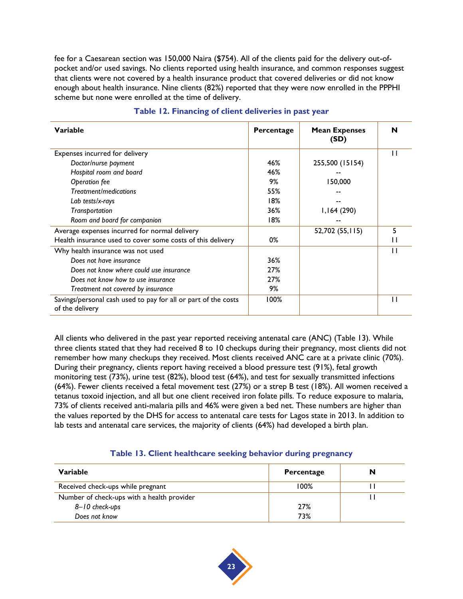fee for a Caesarean section was 150,000 Naira (\$754). All of the clients paid for the delivery out-ofpocket and/or used savings. No clients reported using health insurance, and common responses suggest that clients were not covered by a health insurance product that covered deliveries or did not know enough about health insurance. Nine clients (82%) reported that they were now enrolled in the PPPHI scheme but none were enrolled at the time of delivery.

<span id="page-30-0"></span>

| Variable                                                                          | Percentage | <b>Mean Expenses</b><br>(SD) | N            |
|-----------------------------------------------------------------------------------|------------|------------------------------|--------------|
| Expenses incurred for delivery                                                    |            |                              | $\mathbf{1}$ |
| Doctor/nurse payment                                                              | 46%        | 255,500 (15154)              |              |
| Hospital room and board                                                           | 46%        |                              |              |
| Operation fee                                                                     | 9%         | 150,000                      |              |
| Treatment/medications                                                             | 55%        |                              |              |
| Lab tests/x-rays                                                                  | 18%        |                              |              |
| Transportation                                                                    | 36%        | 1,164(290)                   |              |
| Room and board for companion                                                      | 18%        | --                           |              |
| Average expenses incurred for normal delivery                                     |            | 52,702 (55,115)              | 5            |
| Health insurance used to cover some costs of this delivery                        | 0%         |                              | 1 I          |
| Why health insurance was not used                                                 |            |                              | $\mathsf{I}$ |
| Does not have insurance                                                           | 36%        |                              |              |
| Does not know where could use insurance                                           | 27%        |                              |              |
| Does not know how to use insurance                                                | 27%        |                              |              |
| Treatment not covered by insurance                                                | 9%         |                              |              |
| Savings/personal cash used to pay for all or part of the costs<br>of the delivery | 100%       |                              | $\mathbf{1}$ |

#### **Table 12. Financing of client deliveries in past year**

All clients who delivered in the past year reported receiving antenatal care (ANC) (Table 13). While three clients stated that they had received 8 to 10 checkups during their pregnancy, most clients did not remember how many checkups they received. Most clients received ANC care at a private clinic (70%). During their pregnancy, clients report having received a blood pressure test (91%), fetal growth monitoring test (73%), urine test (82%), blood test (64%), and test for sexually transmitted infections (64%). Fewer clients received a fetal movement test (27%) or a strep B test (18%). All women received a tetanus toxoid injection, and all but one client received iron folate pills. To reduce exposure to malaria, 73% of clients received anti-malaria pills and 46% were given a bed net. These numbers are higher than the values reported by the DHS for access to antenatal care tests for Lagos state in 2013. In addition to lab tests and antenatal care services, the majority of clients (64%) had developed a birth plan.

|  | Table 13. Client healthcare seeking behavior during pregnancy |  |  |
|--|---------------------------------------------------------------|--|--|

<span id="page-30-1"></span>

| Variable                                   | Percentage | N |
|--------------------------------------------|------------|---|
| Received check-ups while pregnant          | 100%       |   |
| Number of check-ups with a health provider |            |   |
| 8-10 check-ups                             | 27%        |   |
| Does not know                              | 73%        |   |

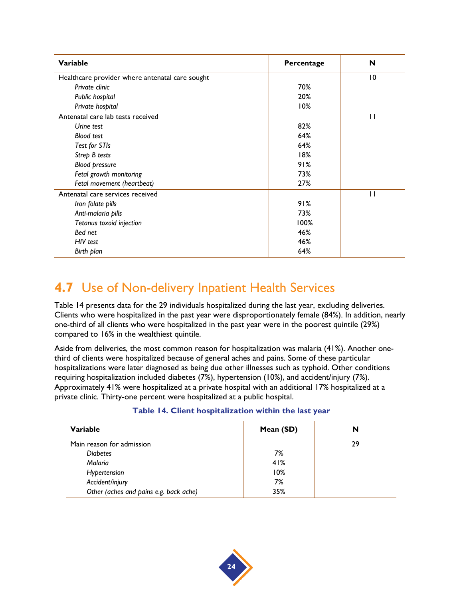| <b>Variable</b>                                 | Percentage | N              |
|-------------------------------------------------|------------|----------------|
| Healthcare provider where antenatal care sought |            | $\overline{0}$ |
| Private clinic                                  | 70%        |                |
| Public hospital                                 | 20%        |                |
| Private hospital                                | 10%        |                |
| Antenatal care lab tests received               |            | П              |
| Urine test                                      | 82%        |                |
| <b>Blood test</b>                               | 64%        |                |
| Test for STIs                                   | 64%        |                |
| Strep B tests                                   | 18%        |                |
| <b>Blood pressure</b>                           | 91%        |                |
| Fetal growth monitoring                         | 73%        |                |
| Fetal movement (heartbeat)                      | 27%        |                |
| Antenatal care services received                |            | п              |
| Iron folate pills                               | 91%        |                |
| Anti-malaria pills                              | 73%        |                |
| Tetanus toxoid injection                        | 100%       |                |
| Bed net                                         | 46%        |                |
| HIV test                                        | 46%        |                |
| Birth plan                                      | 64%        |                |

## **4.7** Use of Non-delivery Inpatient Health Services

Table 14 presents data for the 29 individuals hospitalized during the last year, excluding deliveries. Clients who were hospitalized in the past year were disproportionately female (84%). In addition, nearly one-third of all clients who were hospitalized in the past year were in the poorest quintile (29%) compared to 16% in the wealthiest quintile.

Aside from deliveries, the most common reason for hospitalization was malaria (41%). Another onethird of clients were hospitalized because of general aches and pains. Some of these particular hospitalizations were later diagnosed as being due other illnesses such as typhoid. Other conditions requiring hospitalization included diabetes (7%), hypertension (10%), and accident/injury (7%). Approximately 41% were hospitalized at a private hospital with an additional 17% hospitalized at a private clinic. Thirty-one percent were hospitalized at a public hospital.

|  |  | Table 14. Client hospitalization within the last year |  |  |  |
|--|--|-------------------------------------------------------|--|--|--|
|--|--|-------------------------------------------------------|--|--|--|

<span id="page-31-0"></span>

| Variable                               | Mean (SD) | N  |
|----------------------------------------|-----------|----|
| Main reason for admission              |           | 29 |
| <b>Diabetes</b>                        | 7%        |    |
| Malaria                                | 41%       |    |
| Hypertension                           | 10%       |    |
| Accident/injury                        | 7%        |    |
| Other (aches and pains e.g. back ache) | 35%       |    |

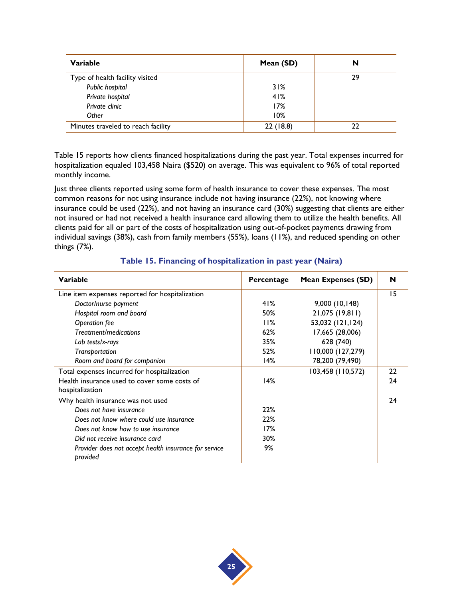| Variable                           | Mean (SD) | N  |
|------------------------------------|-----------|----|
| Type of health facility visited    |           | 29 |
| Public hospital                    | 31%       |    |
| Private hospital                   | 41%       |    |
| Private clinic                     | 17%       |    |
| Other                              | 10%       |    |
| Minutes traveled to reach facility | 22(18.8)  | າາ |

Table 15 reports how clients financed hospitalizations during the past year. Total expenses incurred for hospitalization equaled 103,458 Naira (\$520) on average. This was equivalent to 96% of total reported monthly income.

Just three clients reported using some form of health insurance to cover these expenses. The most common reasons for not using insurance include not having insurance (22%), not knowing where insurance could be used (22%), and not having an insurance card (30%) suggesting that clients are either not insured or had not received a health insurance card allowing them to utilize the health benefits. All clients paid for all or part of the costs of hospitalization using out-of-pocket payments drawing from individual savings (38%), cash from family members (55%), loans (11%), and reduced spending on other things (7%).

<span id="page-32-0"></span>

| Variable                                                          | Percentage | <b>Mean Expenses (SD)</b> | N  |
|-------------------------------------------------------------------|------------|---------------------------|----|
| Line item expenses reported for hospitalization                   |            |                           | 15 |
| Doctor/nurse payment                                              | 41%        | 9,000(10,148)             |    |
| Hospital room and board                                           | 50%        | 21,075 (19,811)           |    |
| Operation fee                                                     | 11%        | 53,032 (121,124)          |    |
| Treatment/medications                                             | 62%        | 17,665 (28,006)           |    |
| Lab tests/x-rays                                                  | 35%        | 628 (740)                 |    |
| Transportation                                                    | 52%        | 110,000 (127,279)         |    |
| Room and board for companion                                      | 14%        | 78,200 (79,490)           |    |
| Total expenses incurred for hospitalization                       |            | 103,458 (110,572)         | 22 |
| Health insurance used to cover some costs of<br>hospitalization   | 14%        |                           | 24 |
| Why health insurance was not used                                 |            |                           | 24 |
| Does not have insurance                                           | 22%        |                           |    |
| Does not know where could use insurance                           | 22%        |                           |    |
| Does not know how to use insurance                                | 17%        |                           |    |
| Did not receive insurance card                                    | 30%        |                           |    |
| Provider does not accept health insurance for service<br>provided | 9%         |                           |    |

#### **Table 15. Financing of hospitalization in past year (Naira)**

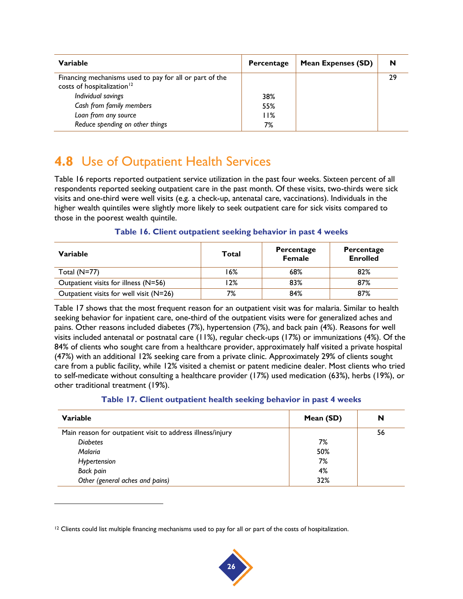| Variable                                                                                          | Percentage | <b>Mean Expenses (SD)</b> | N  |
|---------------------------------------------------------------------------------------------------|------------|---------------------------|----|
| Financing mechanisms used to pay for all or part of the<br>costs of hospitalization <sup>12</sup> |            |                           | 29 |
| Individual savings                                                                                | 38%        |                           |    |
| Cash from family members                                                                          | 55%        |                           |    |
| Loan from any source                                                                              | 11%        |                           |    |
| Reduce spending on other things                                                                   | 7%         |                           |    |

### **4.8** Use of Outpatient Health Services

Table 16 reports reported outpatient service utilization in the past four weeks. Sixteen percent of all respondents reported seeking outpatient care in the past month. Of these visits, two-thirds were sick visits and one-third were well visits (e.g. a check-up, antenatal care, vaccinations). Individuals in the higher wealth quintiles were slightly more likely to seek outpatient care for sick visits compared to those in the poorest wealth quintile.

#### **Table 16. Client outpatient seeking behavior in past 4 weeks**

<span id="page-33-0"></span>

| Variable                                | Total | Percentage<br>Female | Percentage<br><b>Enrolled</b> |
|-----------------------------------------|-------|----------------------|-------------------------------|
| Total $(N=77)$                          | 16%   | 68%                  | 82%                           |
| Outpatient visits for illness (N=56)    | l 2%  | 83%                  | 87%                           |
| Outpatient visits for well visit (N=26) | 7%    | 84%                  | 87%                           |

Table 17 shows that the most frequent reason for an outpatient visit was for malaria. Similar to health seeking behavior for inpatient care, one-third of the outpatient visits were for generalized aches and pains. Other reasons included diabetes (7%), hypertension (7%), and back pain (4%). Reasons for well visits included antenatal or postnatal care (11%), regular check-ups (17%) or immunizations (4%). Of the 84% of clients who sought care from a healthcare provider, approximately half visited a private hospital (47%) with an additional 12% seeking care from a private clinic. Approximately 29% of clients sought care from a public facility, while 12% visited a chemist or patent medicine dealer. Most clients who tried to self-medicate without consulting a healthcare provider (17%) used medication (63%), herbs (19%), or other traditional treatment (19%).

#### **Table 17. Client outpatient health seeking behavior in past 4 weeks**

<span id="page-33-1"></span>

| Variable                                                   | Mean (SD) | N  |
|------------------------------------------------------------|-----------|----|
| Main reason for outpatient visit to address illness/injury |           | 56 |
| <b>Diabetes</b>                                            | 7%        |    |
| Malaria                                                    | 50%       |    |
| Hypertension                                               | 7%        |    |
| Back pain                                                  | 4%        |    |
| Other (general aches and pains)                            | 32%       |    |

l



 $12$  Clients could list multiple financing mechanisms used to pay for all or part of the costs of hospitalization.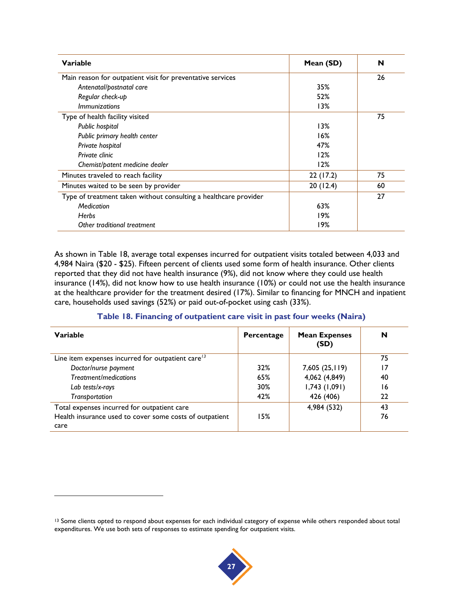| Variable                                                         | Mean (SD) | N  |
|------------------------------------------------------------------|-----------|----|
| Main reason for outpatient visit for preventative services       |           | 26 |
| Antenatal/postnatal care                                         | 35%       |    |
| Regular check-up                                                 | 52%       |    |
| <i>Immunizations</i>                                             | 13%       |    |
| Type of health facility visited                                  |           | 75 |
| Public hospital                                                  | 13%       |    |
| Public primary health center                                     | 16%       |    |
| Private hospital                                                 | 47%       |    |
| Private clinic                                                   | 12%       |    |
| Chemist/patent medicine dealer                                   | 12%       |    |
| Minutes traveled to reach facility                               | 22(17.2)  | 75 |
| Minutes waited to be seen by provider                            | 20(12.4)  | 60 |
| Type of treatment taken without consulting a healthcare provider |           | 27 |
| Medication                                                       | 63%       |    |
| <b>Herbs</b>                                                     | 19%       |    |
| Other traditional treatment                                      | 9% ا      |    |

As shown in Table 18, average total expenses incurred for outpatient visits totaled between 4,033 and 4,984 Naira (\$20 - \$25). Fifteen percent of clients used some form of health insurance. Other clients reported that they did not have health insurance (9%), did not know where they could use health insurance (14%), did not know how to use health insurance (10%) or could not use the health insurance at the healthcare provider for the treatment desired (17%). Similar to financing for MNCH and inpatient care, households used savings (52%) or paid out-of-pocket using cash (33%).

#### **Table 18. Financing of outpatient care visit in past four weeks (Naira)**

<span id="page-34-0"></span>

| Variable                                                | Percentage | <b>Mean Expenses</b><br>(SD) | N  |
|---------------------------------------------------------|------------|------------------------------|----|
| Line item expenses incurred for outpatient care $13$    |            |                              | 75 |
| Doctor/nurse payment                                    | 32%        | 7,605 (25,119)               | 17 |
| Treatment/medications                                   | 65%        | 4,062 (4,849)                | 40 |
| Lab tests/x-rays                                        | 30%        | 1,743(1,091)                 | 16 |
| Transportation                                          | 42%        | 426 (406)                    | 22 |
| Total expenses incurred for outpatient care             |            | 4,984 (532)                  | 43 |
| Health insurance used to cover some costs of outpatient | 15%        |                              | 76 |
| care                                                    |            |                              |    |

l



<sup>&</sup>lt;sup>13</sup> Some clients opted to respond about expenses for each individual category of expense while others responded about total expenditures. We use both sets of responses to estimate spending for outpatient visits.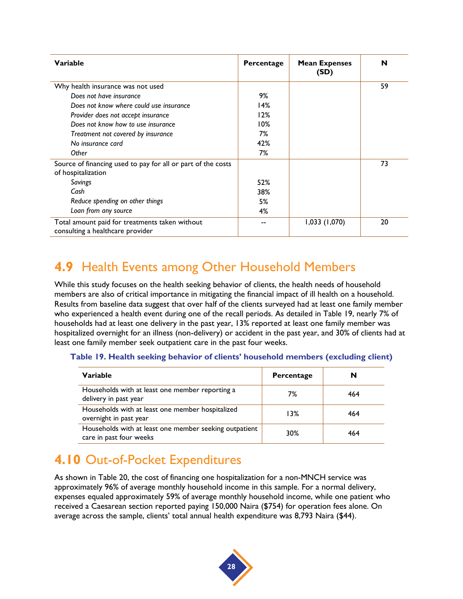| Variable                                                                           | Percentage | <b>Mean Expenses</b><br>(SD) | N  |
|------------------------------------------------------------------------------------|------------|------------------------------|----|
| Why health insurance was not used                                                  |            |                              | 59 |
| Does not have insurance                                                            | 9%         |                              |    |
| Does not know where could use insurance                                            | 14%        |                              |    |
| Provider does not accept insurance                                                 | 12%        |                              |    |
| Does not know how to use insurance                                                 | 10%        |                              |    |
| Treatment not covered by insurance                                                 | 7%         |                              |    |
| No insurance card                                                                  | 42%        |                              |    |
| Other                                                                              | 7%         |                              |    |
| Source of financing used to pay for all or part of the costs<br>of hospitalization |            |                              | 73 |
| Savings                                                                            | 52%        |                              |    |
| Cash                                                                               | 38%        |                              |    |
| Reduce spending on other things                                                    | 5%         |                              |    |
| Loan from any source                                                               | 4%         |                              |    |
| Total amount paid for treatments taken without<br>consulting a healthcare provider |            | 1,033(1,070)                 | 20 |

## **4.9** Health Events among Other Household Members

While this study focuses on the health seeking behavior of clients, the health needs of household members are also of critical importance in mitigating the financial impact of ill health on a household. Results from baseline data suggest that over half of the clients surveyed had at least one family member who experienced a health event during one of the recall periods. As detailed in Table 19, nearly 7% of households had at least one delivery in the past year, 13% reported at least one family member was hospitalized overnight for an illness (non-delivery) or accident in the past year, and 30% of clients had at least one family member seek outpatient care in the past four weeks.

<span id="page-35-0"></span>

|  |  | Table 19. Health seeking behavior of clients' household members (excluding client) |  |  |  |
|--|--|------------------------------------------------------------------------------------|--|--|--|
|--|--|------------------------------------------------------------------------------------|--|--|--|

| Variable                                                                          | Percentage | N   |
|-----------------------------------------------------------------------------------|------------|-----|
| Households with at least one member reporting a<br>delivery in past year          | 7%         | 464 |
| Households with at least one member hospitalized<br>overnight in past year        | 13%        | 464 |
| Households with at least one member seeking outpatient<br>care in past four weeks | 30%        | 464 |

### **4.10** Out-of-Pocket Expenditures

As shown in Table 20, the cost of financing one hospitalization for a non-MNCH service was approximately 96% of average monthly household income in this sample. For a normal delivery, expenses equaled approximately 59% of average monthly household income, while one patient who received a Caesarean section reported paying 150,000 Naira (\$754) for operation fees alone. On average across the sample, clients' total annual health expenditure was 8,793 Naira (\$44).

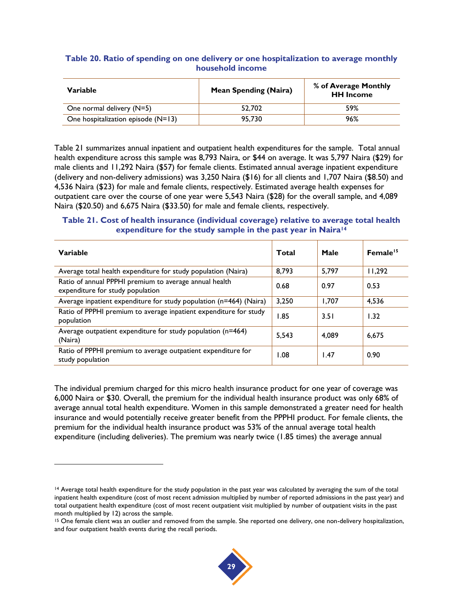#### <span id="page-36-0"></span>**Table 20. Ratio of spending on one delivery or one hospitalization to average monthly household income**

| Variable                             | <b>Mean Spending (Naira)</b> | % of Average Monthly<br><b>HH Income</b> |
|--------------------------------------|------------------------------|------------------------------------------|
| One normal delivery (N=5)            | 52.702                       | 59%                                      |
| One hospitalization episode $(N=13)$ | 95.730                       | 96%                                      |

Table 21 summarizes annual inpatient and outpatient health expenditures for the sample. Total annual health expenditure across this sample was 8,793 Naira, or \$44 on average. It was 5,797 Naira (\$29) for male clients and 11,292 Naira (\$57) for female clients. Estimated annual average inpatient expenditure (delivery and non-delivery admissions) was 3,250 Naira (\$16) for all clients and 1,707 Naira (\$8.50) and 4,536 Naira (\$23) for male and female clients, respectively. Estimated average health expenses for outpatient care over the course of one year were 5,543 Naira (\$28) for the overall sample, and 4,089 Naira (\$20.50) and 6,675 Naira (\$33.50) for male and female clients, respectively.

#### <span id="page-36-1"></span>**Table 21. Cost of health insurance (individual coverage) relative to average total health expenditure for the study sample in the past year in Naira<sup>14</sup>**

| Variable                                                                                   | Total | Male  | Female <sup>15</sup> |
|--------------------------------------------------------------------------------------------|-------|-------|----------------------|
| Average total health expenditure for study population (Naira)                              | 8,793 | 5,797 | 11,292               |
| Ratio of annual PPPHI premium to average annual health<br>expenditure for study population | 0.68  | 0.97  | 0.53                 |
| Average inpatient expenditure for study population (n=464) (Naira)                         | 3,250 | 1.707 | 4,536                |
| Ratio of PPPHI premium to average inpatient expenditure for study<br>population            | 1.85  | 3.51  | 1.32                 |
| Average outpatient expenditure for study population (n=464)<br>(Naira)                     | 5.543 | 4.089 | 6.675                |
| Ratio of PPPHI premium to average outpatient expenditure for<br>study population           | 1.08  | 1.47  | 0.90                 |

The individual premium charged for this micro health insurance product for one year of coverage was 6,000 Naira or \$30. Overall, the premium for the individual health insurance product was only 68% of average annual total health expenditure. Women in this sample demonstrated a greater need for health insurance and would potentially receive greater benefit from the PPPHI product. For female clients, the premium for the individual health insurance product was 53% of the annual average total health expenditure (including deliveries). The premium was nearly twice (1.85 times) the average annual

l

<sup>&</sup>lt;sup>15</sup> One female client was an outlier and removed from the sample. She reported one delivery, one non-delivery hospitalization, and four outpatient health events during the recall periods.



<sup>&</sup>lt;sup>14</sup> Average total health expenditure for the study population in the past year was calculated by averaging the sum of the total inpatient health expenditure (cost of most recent admission multiplied by number of reported admissions in the past year) and total outpatient health expenditure (cost of most recent outpatient visit multiplied by number of outpatient visits in the past month multiplied by 12) across the sample.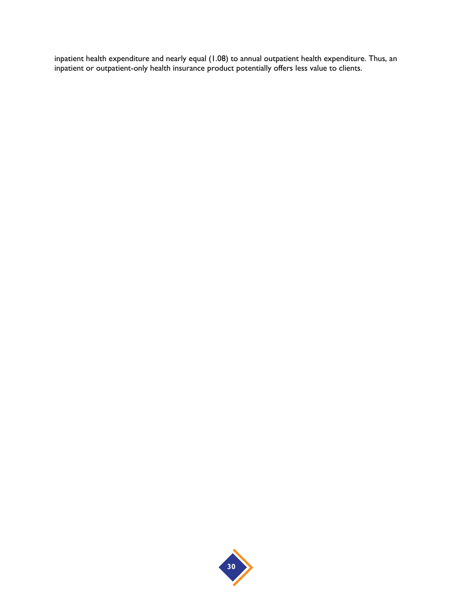inpatient health expenditure and nearly equal (1.08) to annual outpatient health expenditure. Thus, an inpatient or outpatient-only health insurance product potentially offers less value to clients.

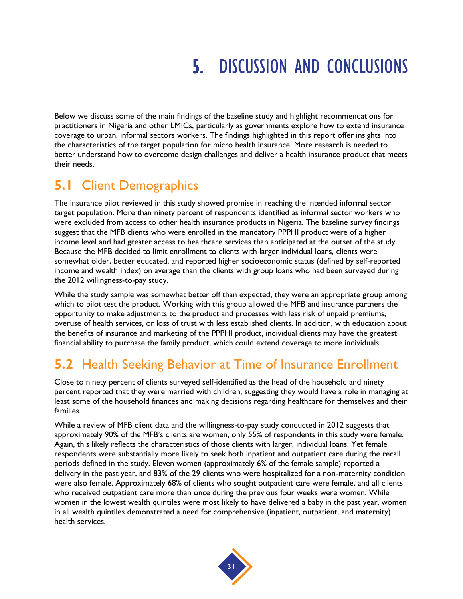## 5. DISCUSSION AND CONCLUSIONS

Below we discuss some of the main findings of the baseline study and highlight recommendations for practitioners in Nigeria and other LMICs, particularly as governments explore how to extend insurance coverage to urban, informal sectors workers. The findings highlighted in this report offer insights into the characteristics of the target population for micro health insurance. More research is needed to better understand how to overcome design challenges and deliver a health insurance product that meets their needs.

## **5.1** Client Demographics

The insurance pilot reviewed in this study showed promise in reaching the intended informal sector target population. More than ninety percent of respondents identified as informal sector workers who were excluded from access to other health insurance products in Nigeria. The baseline survey findings suggest that the MFB clients who were enrolled in the mandatory PPPHI product were of a higher income level and had greater access to healthcare services than anticipated at the outset of the study. Because the MFB decided to limit enrollment to clients with larger individual loans, clients were somewhat older, better educated, and reported higher socioeconomic status (defined by self-reported income and wealth index) on average than the clients with group loans who had been surveyed during the 2012 willingness-to-pay study.

While the study sample was somewhat better off than expected, they were an appropriate group among which to pilot test the product. Working with this group allowed the MFB and insurance partners the opportunity to make adjustments to the product and processes with less risk of unpaid premiums, overuse of health services, or loss of trust with less established clients. In addition, with education about the benefits of insurance and marketing of the PPPHI product, individual clients may have the greatest financial ability to purchase the family product, which could extend coverage to more individuals.

### **5.2** Health Seeking Behavior at Time of Insurance Enrollment

Close to ninety percent of clients surveyed self-identified as the head of the household and ninety percent reported that they were married with children, suggesting they would have a role in managing at least some of the household finances and making decisions regarding healthcare for themselves and their families.

While a review of MFB client data and the willingness-to-pay study conducted in 2012 suggests that approximately 90% of the MFB's clients are women, only 55% of respondents in this study were female. Again, this likely reflects the characteristics of those clients with larger, individual loans. Yet female respondents were substantially more likely to seek both inpatient and outpatient care during the recall periods defined in the study. Eleven women (approximately 6% of the female sample) reported a delivery in the past year, and 83% of the 29 clients who were hospitalized for a non-maternity condition were also female. Approximately 68% of clients who sought outpatient care were female, and all clients who received outpatient care more than once during the previous four weeks were women. While women in the lowest wealth quintiles were most likely to have delivered a baby in the past year, women in all wealth quintiles demonstrated a need for comprehensive (inpatient, outpatient, and maternity) health services.

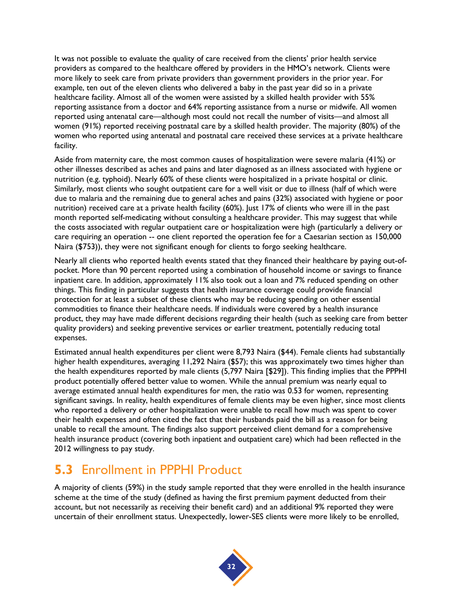It was not possible to evaluate the quality of care received from the clients' prior health service providers as compared to the healthcare offered by providers in the HMO's network. Clients were more likely to seek care from private providers than government providers in the prior year. For example, ten out of the eleven clients who delivered a baby in the past year did so in a private healthcare facility. Almost all of the women were assisted by a skilled health provider with 55% reporting assistance from a doctor and 64% reporting assistance from a nurse or midwife. All women reported using antenatal care—although most could not recall the number of visits—and almost all women (91%) reported receiving postnatal care by a skilled health provider. The majority (80%) of the women who reported using antenatal and postnatal care received these services at a private healthcare facility.

Aside from maternity care, the most common causes of hospitalization were severe malaria (41%) or other illnesses described as aches and pains and later diagnosed as an illness associated with hygiene or nutrition (e.g. typhoid). Nearly 60% of these clients were hospitalized in a private hospital or clinic. Similarly, most clients who sought outpatient care for a well visit or due to illness (half of which were due to malaria and the remaining due to general aches and pains (32%) associated with hygiene or poor nutrition) received care at a private health facility (60%). Just 17% of clients who were ill in the past month reported self-medicating without consulting a healthcare provider. This may suggest that while the costs associated with regular outpatient care or hospitalization were high (particularly a delivery or care requiring an operation -- one client reported the operation fee for a Caesarian section as 150,000 Naira (\$753)), they were not significant enough for clients to forgo seeking healthcare.

Nearly all clients who reported health events stated that they financed their healthcare by paying out-ofpocket. More than 90 percent reported using a combination of household income or savings to finance inpatient care. In addition, approximately 11% also took out a loan and 7% reduced spending on other things. This finding in particular suggests that health insurance coverage could provide financial protection for at least a subset of these clients who may be reducing spending on other essential commodities to finance their healthcare needs. If individuals were covered by a health insurance product, they may have made different decisions regarding their health (such as seeking care from better quality providers) and seeking preventive services or earlier treatment, potentially reducing total expenses.

Estimated annual health expenditures per client were 8,793 Naira (\$44). Female clients had substantially higher health expenditures, averaging 11,292 Naira (\$57); this was approximately two times higher than the health expenditures reported by male clients (5,797 Naira [\$29]). This finding implies that the PPPHI product potentially offered better value to women. While the annual premium was nearly equal to average estimated annual health expenditures for men, the ratio was 0.53 for women, representing significant savings. In reality, health expenditures of female clients may be even higher, since most clients who reported a delivery or other hospitalization were unable to recall how much was spent to cover their health expenses and often cited the fact that their husbands paid the bill as a reason for being unable to recall the amount. The findings also support perceived client demand for a comprehensive health insurance product (covering both inpatient and outpatient care) which had been reflected in the 2012 willingness to pay study.

### **5.3** Enrollment in PPPHI Product

A majority of clients (59%) in the study sample reported that they were enrolled in the health insurance scheme at the time of the study (defined as having the first premium payment deducted from their account, but not necessarily as receiving their benefit card) and an additional 9% reported they were uncertain of their enrollment status. Unexpectedly, lower-SES clients were more likely to be enrolled,

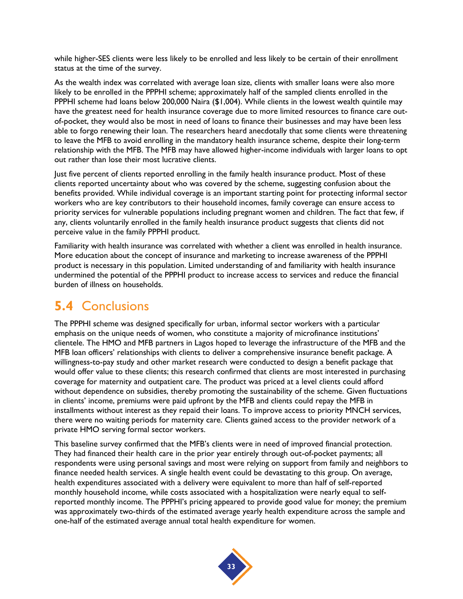while higher-SES clients were less likely to be enrolled and less likely to be certain of their enrollment status at the time of the survey.

As the wealth index was correlated with average loan size, clients with smaller loans were also more likely to be enrolled in the PPPHI scheme; approximately half of the sampled clients enrolled in the PPPHI scheme had loans below 200,000 Naira (\$1,004). While clients in the lowest wealth quintile may have the greatest need for health insurance coverage due to more limited resources to finance care outof-pocket, they would also be most in need of loans to finance their businesses and may have been less able to forgo renewing their loan. The researchers heard anecdotally that some clients were threatening to leave the MFB to avoid enrolling in the mandatory health insurance scheme, despite their long-term relationship with the MFB. The MFB may have allowed higher-income individuals with larger loans to opt out rather than lose their most lucrative clients.

Just five percent of clients reported enrolling in the family health insurance product. Most of these clients reported uncertainty about who was covered by the scheme, suggesting confusion about the benefits provided. While individual coverage is an important starting point for protecting informal sector workers who are key contributors to their household incomes, family coverage can ensure access to priority services for vulnerable populations including pregnant women and children. The fact that few, if any, clients voluntarily enrolled in the family health insurance product suggests that clients did not perceive value in the family PPPHI product.

Familiarity with health insurance was correlated with whether a client was enrolled in health insurance. More education about the concept of insurance and marketing to increase awareness of the PPPHI product is necessary in this population. Limited understanding of and familiarity with health insurance undermined the potential of the PPPHI product to increase access to services and reduce the financial burden of illness on households.

### **5.4** Conclusions

The PPPHI scheme was designed specifically for urban, informal sector workers with a particular emphasis on the unique needs of women, who constitute a majority of microfinance institutions' clientele. The HMO and MFB partners in Lagos hoped to leverage the infrastructure of the MFB and the MFB loan officers' relationships with clients to deliver a comprehensive insurance benefit package. A willingness-to-pay study and other market research were conducted to design a benefit package that would offer value to these clients; this research confirmed that clients are most interested in purchasing coverage for maternity and outpatient care. The product was priced at a level clients could afford without dependence on subsidies, thereby promoting the sustainability of the scheme. Given fluctuations in clients' income, premiums were paid upfront by the MFB and clients could repay the MFB in installments without interest as they repaid their loans. To improve access to priority MNCH services, there were no waiting periods for maternity care. Clients gained access to the provider network of a private HMO serving formal sector workers.

This baseline survey confirmed that the MFB's clients were in need of improved financial protection. They had financed their health care in the prior year entirely through out-of-pocket payments; all respondents were using personal savings and most were relying on support from family and neighbors to finance needed health services. A single health event could be devastating to this group. On average, health expenditures associated with a delivery were equivalent to more than half of self-reported monthly household income, while costs associated with a hospitalization were nearly equal to selfreported monthly income. The PPPHI's pricing appeared to provide good value for money; the premium was approximately two-thirds of the estimated average yearly health expenditure across the sample and one-half of the estimated average annual total health expenditure for women.

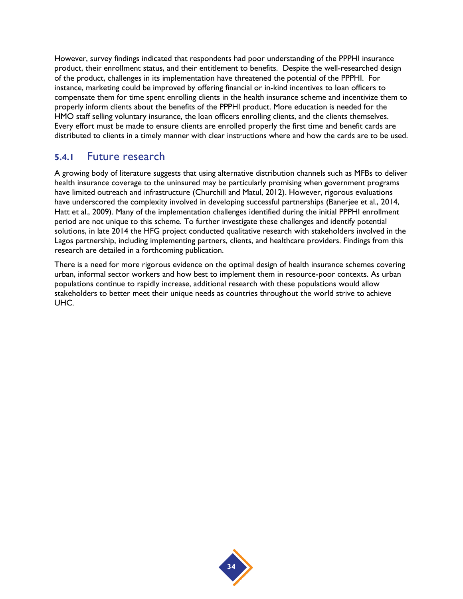However, survey findings indicated that respondents had poor understanding of the PPPHI insurance product, their enrollment status, and their entitlement to benefits. Despite the well-researched design of the product, challenges in its implementation have threatened the potential of the PPPHI. For instance, marketing could be improved by offering financial or in-kind incentives to loan officers to compensate them for time spent enrolling clients in the health insurance scheme and incentivize them to properly inform clients about the benefits of the PPPHI product. More education is needed for the HMO staff selling voluntary insurance, the loan officers enrolling clients, and the clients themselves. Every effort must be made to ensure clients are enrolled properly the first time and benefit cards are distributed to clients in a timely manner with clear instructions where and how the cards are to be used.

#### **5.4.1** Future research

A growing body of literature suggests that using alternative distribution channels such as MFBs to deliver health insurance coverage to the uninsured may be particularly promising when government programs have limited outreach and infrastructure [\(Churchill and Matul, 2012\)](#page-42-19). However, rigorous evaluations have underscored the complexity involved in developing successful partnerships [\(Banerjee et al., 2014,](#page-42-20) [Hatt et al., 2009\)](#page-42-21). Many of the implementation challenges identified during the initial PPPHI enrollment period are not unique to this scheme. To further investigate these challenges and identify potential solutions, in late 2014 the HFG project conducted qualitative research with stakeholders involved in the Lagos partnership, including implementing partners, clients, and healthcare providers. Findings from this research are detailed in a forthcoming publication.

There is a need for more rigorous evidence on the optimal design of health insurance schemes covering urban, informal sector workers and how best to implement them in resource-poor contexts. As urban populations continue to rapidly increase, additional research with these populations would allow stakeholders to better meet their unique needs as countries throughout the world strive to achieve UHC.

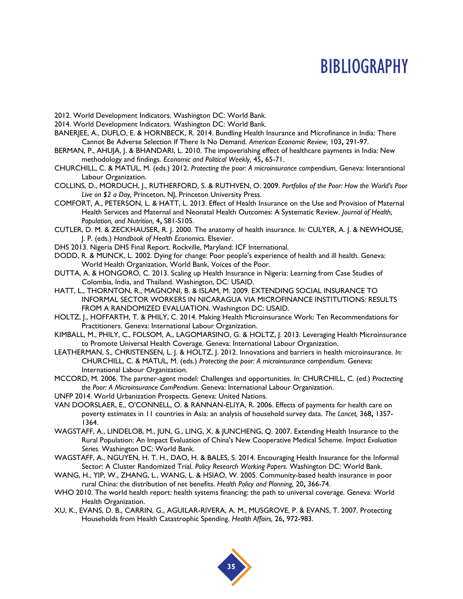## **BIBLIOGRAPHY**

- <span id="page-42-16"></span>2012. World Development Indicators. Washington DC: World Bank.
- <span id="page-42-15"></span>2014. World Development Indicators. Washington DC: World Bank.
- <span id="page-42-20"></span>BANERJEE, A., DUFLO, E. & HORNBECK, R. 2014. Bundling Health Insurance and Microfinance in India: There Cannot Be Adverse Selection If There Is No Demand. *American Economic Review,* 103**,** 291-97.
- <span id="page-42-4"></span>BERMAN, P., AHUJA, J. & BHANDARI, L. 2010. The impoverishing effect of healthcare payments in India: New methodology and findings. *Economic and Political Weekly,* 45**,** 65-71.
- <span id="page-42-19"></span>CHURCHILL, C. & MATUL, M. (eds.) 2012. *Protecting the poor: A microinsurance compendium,* Geneva: Interantional Labour Organization.
- <span id="page-42-3"></span>COLLINS, D., MORDUCH, J., RUTHERFORD, S. & RUTHVEN, O. 2009. *Portfolios of the Poor: How the World's Poor Live on \$2 a Day,* Princeton, NJ, Princeton University Press.
- <span id="page-42-13"></span>COMFORT, A., PETERSON, L. & HATT, L. 2013. Effect of Health Insurance on the Use and Provision of Maternal Health Services and Maternal and Neonatal Health Outcomes: A Systematic Review. *Journal of Health, Population, and Nutrition,* 4**,** S81-S105.
- <span id="page-42-6"></span>CUTLER, D. M. & ZECKHAUSER, R. J. 2000. The anatomy of health insurance. *In:* CULYER, A. J. & NEWHOUSE, J. P. (eds.) *Handbook of Health Economics.* Elsevier.
- <span id="page-42-14"></span>DHS 2013. Nigeria DHS Final Report. Rockville, Maryland: ICF International.
- <span id="page-42-2"></span>DODD, R. & MUNCK, L. 2002. Dying for change: Poor people's experience of health and ill health. Geneva: World Health Organization, World Bank, Voices of the Poor.
- <span id="page-42-17"></span>DUTTA, A. & HONGORO, C. 2013. Scaling up Health Insurance in Nigeria: Learning from Case Studies of Colombia, India, and Thailand. Washington, DC: USAID.
- <span id="page-42-21"></span>HATT, L., THORNTON, R., MAGNONI, B. & ISLAM, M. 2009. EXTENDING SOCIAL INSURANCE TO INFORMAL SECTOR WORKERS IN NICARAGUA VIA MICROFINANCE INSTITUTIONS: RESULTS FROM A RANDOMIZED EVALUATION. Washington DC: USAID.
- <span id="page-42-9"></span>HOLTZ, J., HOFFARTH, T. & PHILY, C. 2014. Making Health Microinsurance Work: Ten Recommendations for Practitioners. Geneva: International Labour Organization.
- <span id="page-42-7"></span>KIMBALL, M., PHILY, C., FOLSOM, A., LAGOMARSINO, G. & HOLTZ, J. 2013. Leveraging Health Microinsurance to Promote Universal Health Coverage. Geneva: International Labour Organization.
- <span id="page-42-8"></span>LEATHERMAN, S., CHRISTENSEN, L. J. & HOLTZ, J. 2012. Innovations and barriers in health microinsurance. *In:* CHURCHILL, C. & MATUL, M. (eds.) *Protecting the poor: A microinsurance compendium.* Geneva: International Labour Organization.
- <span id="page-42-18"></span>MCCORD, M. 2006. The partner-agent model: Challenges and opportunities. *In:* CHURCHILL, C. (ed.) *Proctecting the Poor: A Microinsurance ComPendium.* Geneva: International Labour Organization.
- <span id="page-42-12"></span>UNFP 2014. World Urbanization Prospects. Geneva: United Nations.
- <span id="page-42-5"></span>VAN DOORSLAER, E., O'CONNELL, O. & RANNAN-ELIYA, R. 2006. Effects of payments for health care on poverty estimates in 11 countries in Asia: an analysis of household survey data. *The Lancet,* 368**,** 1357- 1364.
- <span id="page-42-10"></span>WAGSTAFF, A., LINDELOB, M., JUN, G., LING, X. & JUNCHENG, Q. 2007. Extending Health Insurance to the Rural Population: An Impact Evaluation of China's New Cooperative Medical Scheme. *Impact Evaluation Series.* Washington DC: World Bank.
- <span id="page-42-11"></span>WAGSTAFF, A., NGUYEN, H. T. H., DAO, H. & BALES, S. 2014. Encouraging Health Insurance for the Informal Sector: A Cluster Randomized Trial. *Policy Research Working Papers.* Washington DC: World Bank.
- WANG, H., YIP, W., ZHANG, L., WANG, L. & HSIAO, W. 2005. Community-based health insurance in poor rural China: the distribution of net benefits. *Health Policy and Planning,* 20**,** 366-74.
- <span id="page-42-0"></span>WHO 2010. The world health report: health systems financing: the path to universal coverage. Geneva: World Health Organization.
- <span id="page-42-1"></span>XU, K., EVANS, D. B., CARRIN, G., AGUILAR-RIVERA, A. M., MUSGROVE, P. & EVANS, T. 2007. Protecting Households from Health Catastrophic Spending. *Health Affairs,* 26**,** 972-983.